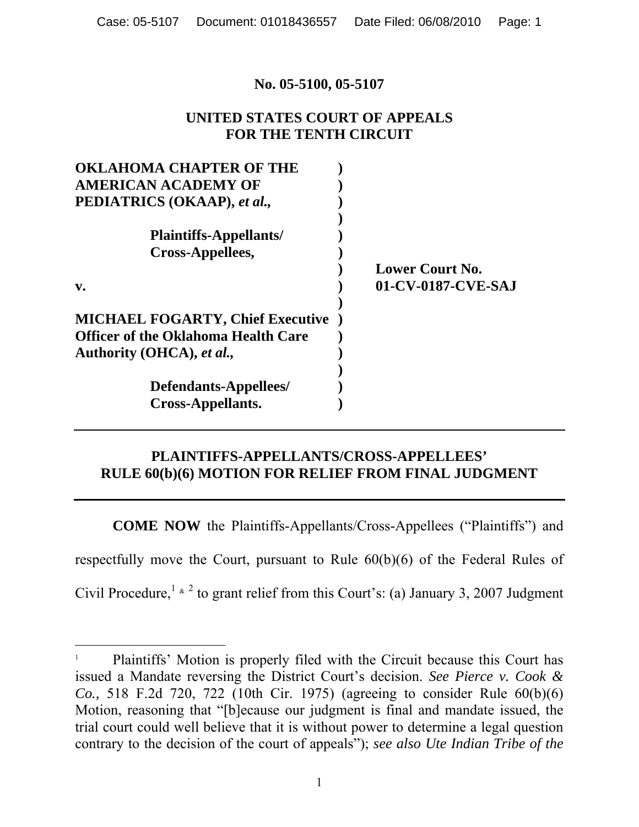## **No. 05-5100, 05-5107**

# **UNITED STATES COURT OF APPEALS FOR THE TENTH CIRCUIT**

| <b>Lower Court No.</b> |
|------------------------|
| 01-CV-0187-CVE-SAJ     |
|                        |
|                        |
|                        |
|                        |
|                        |
|                        |
|                        |
|                        |

# **PLAINTIFFS-APPELLANTS/CROSS-APPELLEES' RULE 60(b)(6) MOTION FOR RELIEF FROM FINAL JUDGMENT**

**COME NOW** the Plaintiffs-Appellants/Cross-Appellees ("Plaintiffs") and respectfully move the Court, pursuant to Rule 60(b)(6) of the Federal Rules of Civil Procedure,  $1 \times 2$  to grant relief from this Court's: (a) January 3, 2007 Judgment

 $\overline{a}$ 

<sup>1</sup> Plaintiffs' Motion is properly filed with the Circuit because this Court has issued a Mandate reversing the District Court's decision. *See Pierce v. Cook & Co.,* 518 F.2d 720, 722 (10th Cir. 1975) (agreeing to consider Rule 60(b)(6) Motion, reasoning that "[b]ecause our judgment is final and mandate issued, the trial court could well believe that it is without power to determine a legal question contrary to the decision of the court of appeals"); *see also Ute Indian Tribe of the*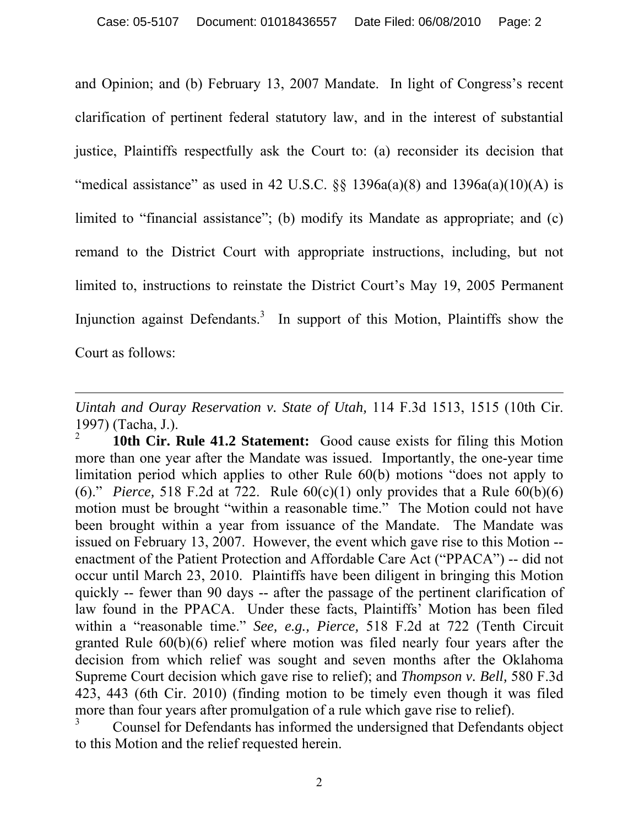and Opinion; and (b) February 13, 2007 Mandate. In light of Congress's recent clarification of pertinent federal statutory law, and in the interest of substantial justice, Plaintiffs respectfully ask the Court to: (a) reconsider its decision that "medical assistance" as used in 42 U.S.C.  $\S$  1396a(a)(8) and 1396a(a)(10)(A) is limited to "financial assistance"; (b) modify its Mandate as appropriate; and (c) remand to the District Court with appropriate instructions, including, but not limited to, instructions to reinstate the District Court's May 19, 2005 Permanent Injunction against Defendants.<sup>3</sup> In support of this Motion, Plaintiffs show the Court as follows:

 $\overline{a}$ 

*Uintah and Ouray Reservation v. State of Utah,* 114 F.3d 1513, 1515 (10th Cir. 1997) (Tacha, J.). 2

<sup>10</sup>th Cir. Rule 41.2 Statement: Good cause exists for filing this Motion more than one year after the Mandate was issued. Importantly, the one-year time limitation period which applies to other Rule 60(b) motions "does not apply to (6)." *Pierce*, 518 F.2d at 722. Rule  $60(c)(1)$  only provides that a Rule  $60(b)(6)$ motion must be brought "within a reasonable time." The Motion could not have been brought within a year from issuance of the Mandate. The Mandate was issued on February 13, 2007. However, the event which gave rise to this Motion - enactment of the Patient Protection and Affordable Care Act ("PPACA") -- did not occur until March 23, 2010. Plaintiffs have been diligent in bringing this Motion quickly -- fewer than 90 days -- after the passage of the pertinent clarification of law found in the PPACA. Under these facts, Plaintiffs' Motion has been filed within a "reasonable time." *See, e.g., Pierce,* 518 F.2d at 722 (Tenth Circuit granted Rule 60(b)(6) relief where motion was filed nearly four years after the decision from which relief was sought and seven months after the Oklahoma Supreme Court decision which gave rise to relief); and *Thompson v. Bell,* 580 F.3d 423, 443 (6th Cir. 2010) (finding motion to be timely even though it was filed more than four years after promulgation of a rule which gave rise to relief).

<sup>3</sup> Counsel for Defendants has informed the undersigned that Defendants object to this Motion and the relief requested herein.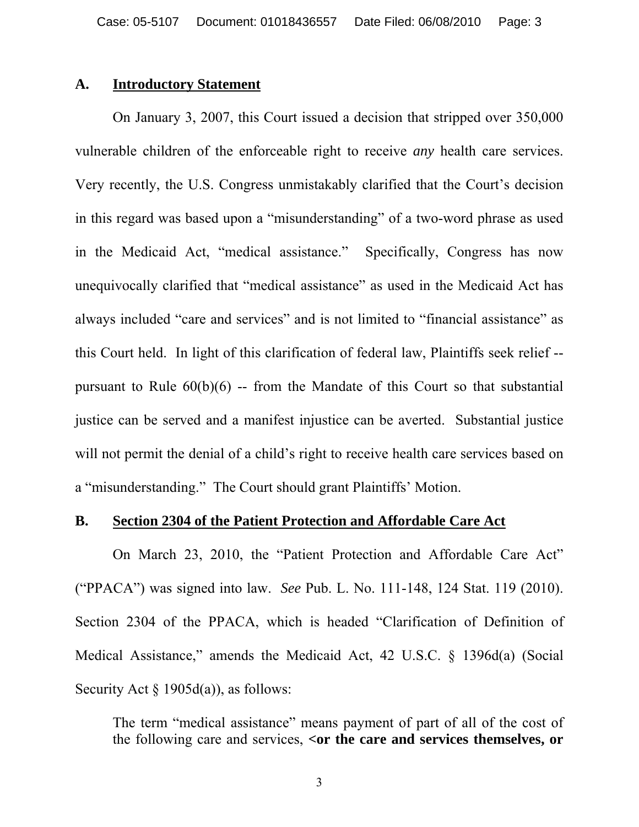# **A. Introductory Statement**

On January 3, 2007, this Court issued a decision that stripped over 350,000 vulnerable children of the enforceable right to receive *any* health care services. Very recently, the U.S. Congress unmistakably clarified that the Court's decision in this regard was based upon a "misunderstanding" of a two-word phrase as used in the Medicaid Act, "medical assistance." Specifically, Congress has now unequivocally clarified that "medical assistance" as used in the Medicaid Act has always included "care and services" and is not limited to "financial assistance" as this Court held. In light of this clarification of federal law, Plaintiffs seek relief - pursuant to Rule  $60(b)(6)$  -- from the Mandate of this Court so that substantial justice can be served and a manifest injustice can be averted. Substantial justice will not permit the denial of a child's right to receive health care services based on a "misunderstanding." The Court should grant Plaintiffs' Motion.

## **B. Section 2304 of the Patient Protection and Affordable Care Act**

On March 23, 2010, the "Patient Protection and Affordable Care Act" ("PPACA") was signed into law. *See* Pub. L. No. 111-148, 124 Stat. 119 (2010). Section 2304 of the PPACA, which is headed "Clarification of Definition of Medical Assistance," amends the Medicaid Act, 42 U.S.C. § 1396d(a) (Social Security Act  $\S$  1905d(a)), as follows:

The term "medical assistance" means payment of part of all of the cost of the following care and services, **<or the care and services themselves, or** 

3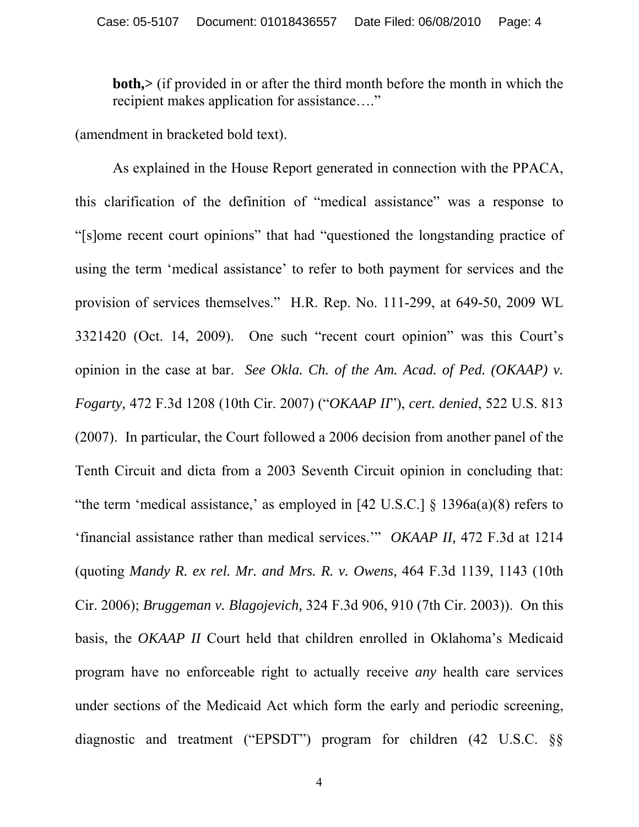**both,>** (if provided in or after the third month before the month in which the recipient makes application for assistance…."

(amendment in bracketed bold text).

 As explained in the House Report generated in connection with the PPACA, this clarification of the definition of "medical assistance" was a response to "[s]ome recent court opinions" that had "questioned the longstanding practice of using the term 'medical assistance' to refer to both payment for services and the provision of services themselves." H.R. Rep. No. 111-299, at 649-50, 2009 WL 3321420 (Oct. 14, 2009). One such "recent court opinion" was this Court's opinion in the case at bar. *See Okla. Ch. of the Am. Acad. of Ped. (OKAAP) v. Fogarty,* 472 F.3d 1208 (10th Cir. 2007) ("*OKAAP II*"), *cert. denied*, 522 U.S. 813 (2007). In particular, the Court followed a 2006 decision from another panel of the Tenth Circuit and dicta from a 2003 Seventh Circuit opinion in concluding that: "the term 'medical assistance,' as employed in  $[42 \text{ U.S.C.}]$  §  $1396a(a)(8)$  refers to 'financial assistance rather than medical services.'" *OKAAP II,* 472 F.3d at 1214 (quoting *Mandy R. ex rel. Mr. and Mrs. R. v. Owens,* 464 F.3d 1139, 1143 (10th Cir. 2006); *Bruggeman v. Blagojevich,* 324 F.3d 906, 910 (7th Cir. 2003)). On this basis, the *OKAAP II* Court held that children enrolled in Oklahoma's Medicaid program have no enforceable right to actually receive *any* health care services under sections of the Medicaid Act which form the early and periodic screening, diagnostic and treatment ("EPSDT") program for children (42 U.S.C. §§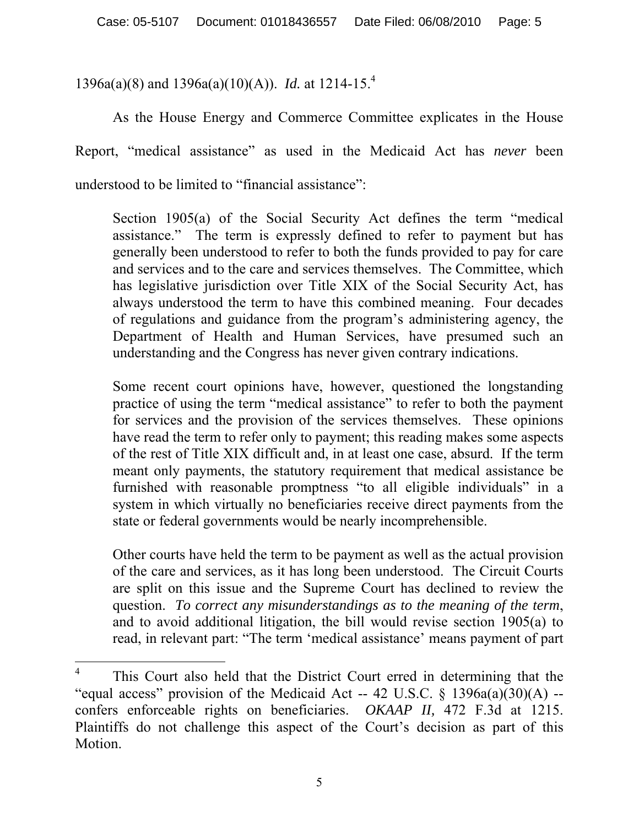1396a(a)(8) and 1396a(a)(10)(A)). *Id.* at 1214-15.4

As the House Energy and Commerce Committee explicates in the House Report, "medical assistance" as used in the Medicaid Act has *never* been understood to be limited to "financial assistance":

Section 1905(a) of the Social Security Act defines the term "medical assistance." The term is expressly defined to refer to payment but has generally been understood to refer to both the funds provided to pay for care and services and to the care and services themselves. The Committee, which has legislative jurisdiction over Title XIX of the Social Security Act, has always understood the term to have this combined meaning. Four decades of regulations and guidance from the program's administering agency, the Department of Health and Human Services, have presumed such an understanding and the Congress has never given contrary indications.

Some recent court opinions have, however, questioned the longstanding practice of using the term "medical assistance" to refer to both the payment for services and the provision of the services themselves. These opinions have read the term to refer only to payment; this reading makes some aspects of the rest of Title XIX difficult and, in at least one case, absurd. If the term meant only payments, the statutory requirement that medical assistance be furnished with reasonable promptness "to all eligible individuals" in a system in which virtually no beneficiaries receive direct payments from the state or federal governments would be nearly incomprehensible.

Other courts have held the term to be payment as well as the actual provision of the care and services, as it has long been understood. The Circuit Courts are split on this issue and the Supreme Court has declined to review the question. *To correct any misunderstandings as to the meaning of the term*, and to avoid additional litigation, the bill would revise section 1905(a) to read, in relevant part: "The term 'medical assistance' means payment of part

 $\overline{a}$ 

<sup>4</sup> This Court also held that the District Court erred in determining that the "equal access" provision of the Medicaid Act -- 42 U.S.C.  $\S$  1396a(a)(30)(A) -confers enforceable rights on beneficiaries. *OKAAP II,* 472 F.3d at 1215. Plaintiffs do not challenge this aspect of the Court's decision as part of this Motion.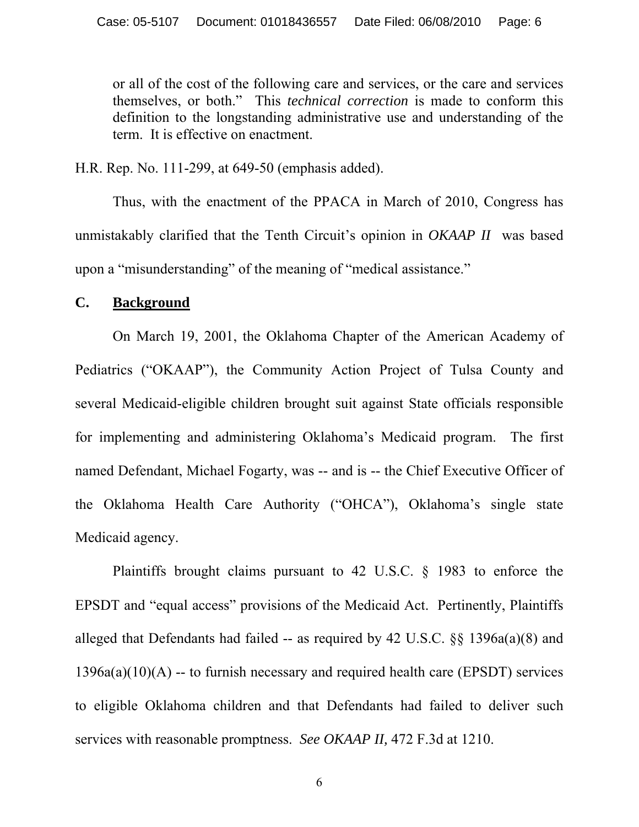or all of the cost of the following care and services, or the care and services themselves, or both." This *technical correction* is made to conform this definition to the longstanding administrative use and understanding of the term. It is effective on enactment.

H.R. Rep. No. 111-299, at 649-50 (emphasis added).

 Thus, with the enactment of the PPACA in March of 2010, Congress has unmistakably clarified that the Tenth Circuit's opinion in *OKAAP II* was based upon a "misunderstanding" of the meaning of "medical assistance."

## **C. Background**

On March 19, 2001, the Oklahoma Chapter of the American Academy of Pediatrics ("OKAAP"), the Community Action Project of Tulsa County and several Medicaid-eligible children brought suit against State officials responsible for implementing and administering Oklahoma's Medicaid program. The first named Defendant, Michael Fogarty, was -- and is -- the Chief Executive Officer of the Oklahoma Health Care Authority ("OHCA"), Oklahoma's single state Medicaid agency.

Plaintiffs brought claims pursuant to 42 U.S.C. § 1983 to enforce the EPSDT and "equal access" provisions of the Medicaid Act. Pertinently, Plaintiffs alleged that Defendants had failed -- as required by 42 U.S.C. §§ 1396a(a)(8) and  $1396a(a)(10)(A) -$  to furnish necessary and required health care (EPSDT) services to eligible Oklahoma children and that Defendants had failed to deliver such services with reasonable promptness. *See OKAAP II,* 472 F.3d at 1210.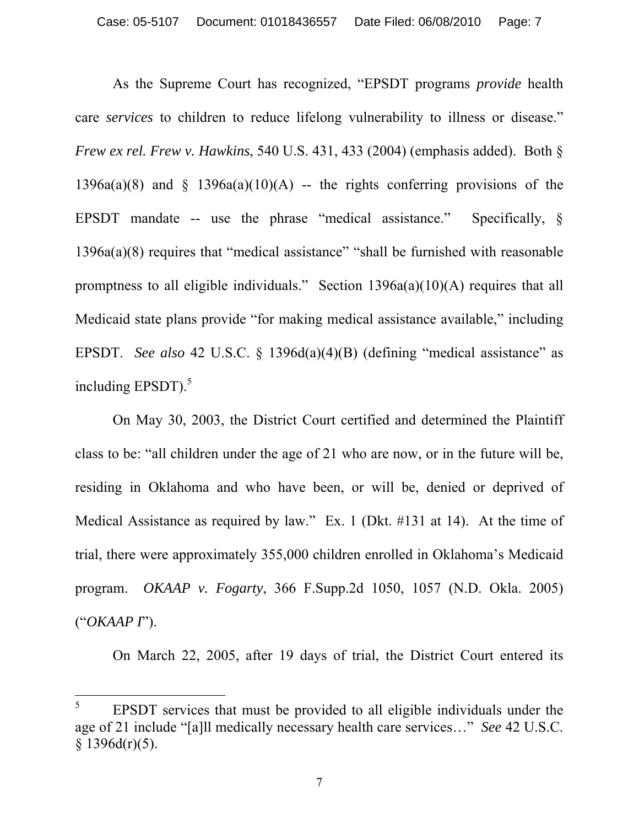As the Supreme Court has recognized, "EPSDT programs *provide* health care *services* to children to reduce lifelong vulnerability to illness or disease." *Frew ex rel. Frew v. Hawkins*, 540 U.S. 431, 433 (2004) (emphasis added). Both § 1396a(a)(8) and  $\S$  1396a(a)(10)(A) -- the rights conferring provisions of the EPSDT mandate -- use the phrase "medical assistance." Specifically,  $\S$ 1396a(a)(8) requires that "medical assistance" "shall be furnished with reasonable promptness to all eligible individuals."Section 1396a(a)(10)(A) requires that all Medicaid state plans provide "for making medical assistance available," including EPSDT. *See also* 42 U.S.C. § 1396d(a)(4)(B) (defining "medical assistance" as including EPSDT $)$ .<sup>5</sup>

On May 30, 2003, the District Court certified and determined the Plaintiff class to be: "all children under the age of 21 who are now, or in the future will be, residing in Oklahoma and who have been, or will be, denied or deprived of Medical Assistance as required by law." Ex. 1 (Dkt. #131 at 14). At the time of trial, there were approximately 355,000 children enrolled in Oklahoma's Medicaid program. *OKAAP v. Fogarty*, 366 F.Supp.2d 1050, 1057 (N.D. Okla. 2005) ("*OKAAP I*").

On March 22, 2005, after 19 days of trial, the District Court entered its

 $\overline{a}$ 

<sup>5</sup> EPSDT services that must be provided to all eligible individuals under the age of 21 include "[a]ll medically necessary health care services…" *See* 42 U.S.C.  $§$  1396d(r)(5).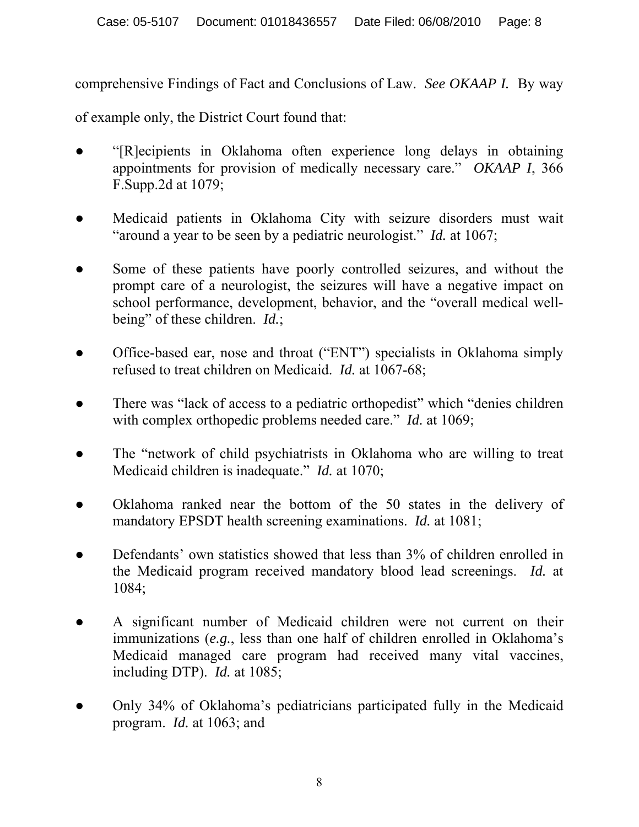comprehensive Findings of Fact and Conclusions of Law. *See OKAAP I.* By way

of example only, the District Court found that:

- "[R]ecipients in Oklahoma often experience long delays in obtaining appointments for provision of medically necessary care." *OKAAP I*, 366 F.Supp.2d at 1079;
- Medicaid patients in Oklahoma City with seizure disorders must wait "around a year to be seen by a pediatric neurologist." *Id.* at 1067;
- Some of these patients have poorly controlled seizures, and without the prompt care of a neurologist, the seizures will have a negative impact on school performance, development, behavior, and the "overall medical wellbeing" of these children. *Id.*;
- Office-based ear, nose and throat ("ENT") specialists in Oklahoma simply refused to treat children on Medicaid. *Id.* at 1067-68;
- There was "lack of access to a pediatric orthopedist" which "denies children" with complex orthopedic problems needed care." *Id.* at 1069;
- The "network of child psychiatrists in Oklahoma who are willing to treat Medicaid children is inadequate." *Id.* at 1070;
- Oklahoma ranked near the bottom of the 50 states in the delivery of mandatory EPSDT health screening examinations. *Id.* at 1081;
- Defendants' own statistics showed that less than 3% of children enrolled in the Medicaid program received mandatory blood lead screenings. *Id.* at 1084;
- A significant number of Medicaid children were not current on their immunizations (*e.g.*, less than one half of children enrolled in Oklahoma's Medicaid managed care program had received many vital vaccines, including DTP). *Id.* at 1085;
- Only 34% of Oklahoma's pediatricians participated fully in the Medicaid program. *Id.* at 1063; and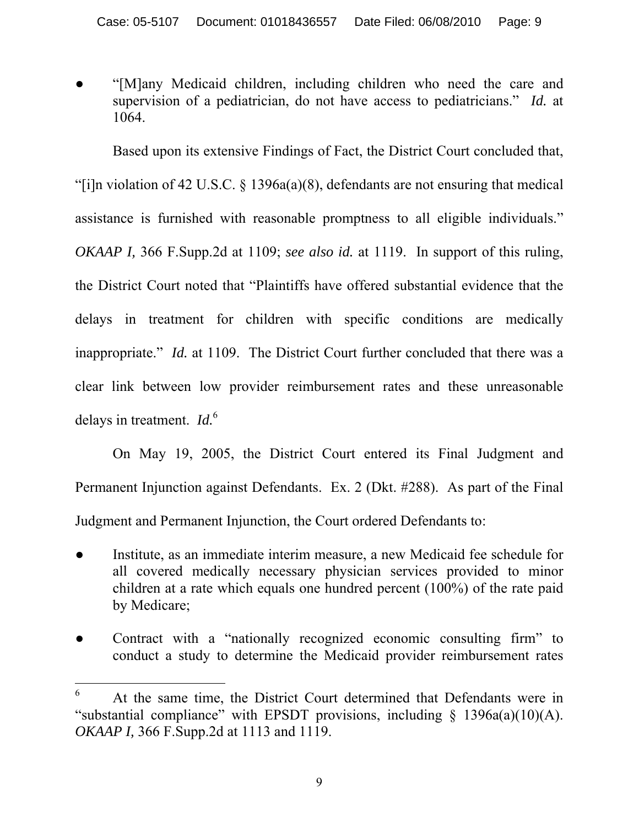"[M]any Medicaid children, including children who need the care and supervision of a pediatrician, do not have access to pediatricians." *Id.* at 1064.

Based upon its extensive Findings of Fact, the District Court concluded that, "[i]n violation of 42 U.S.C.  $\S$  1396a(a)(8), defendants are not ensuring that medical assistance is furnished with reasonable promptness to all eligible individuals." *OKAAP I,* 366 F.Supp.2d at 1109; *see also id.* at 1119. In support of this ruling, the District Court noted that "Plaintiffs have offered substantial evidence that the delays in treatment for children with specific conditions are medically inappropriate." *Id.* at 1109. The District Court further concluded that there was a clear link between low provider reimbursement rates and these unreasonable delays in treatment. *Id.*<sup>6</sup>

On May 19, 2005, the District Court entered its Final Judgment and Permanent Injunction against Defendants. Ex. 2 (Dkt. #288). As part of the Final Judgment and Permanent Injunction, the Court ordered Defendants to:

- Institute, as an immediate interim measure, a new Medicaid fee schedule for all covered medically necessary physician services provided to minor children at a rate which equals one hundred percent (100%) of the rate paid by Medicare;
- Contract with a "nationally recognized economic consulting firm" to conduct a study to determine the Medicaid provider reimbursement rates

 $\overline{a}$ 6 At the same time, the District Court determined that Defendants were in "substantial compliance" with EPSDT provisions, including  $\S$  1396a(a)(10)(A). *OKAAP I,* 366 F.Supp.2d at 1113 and 1119.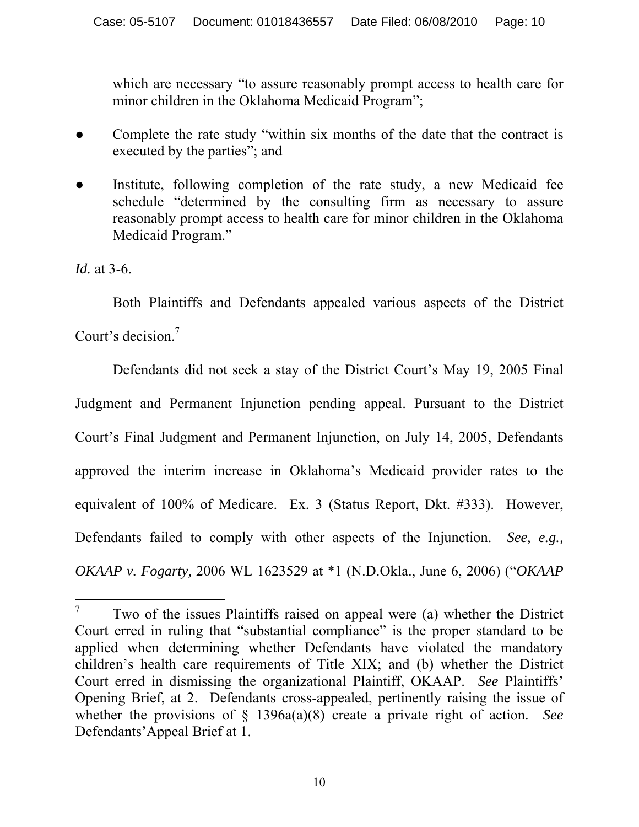which are necessary "to assure reasonably prompt access to health care for minor children in the Oklahoma Medicaid Program";

- Complete the rate study "within six months of the date that the contract is executed by the parties"; and
- Institute, following completion of the rate study, a new Medicaid fee schedule "determined by the consulting firm as necessary to assure reasonably prompt access to health care for minor children in the Oklahoma Medicaid Program."

*Id.* at 3-6.

 $\overline{a}$ 

 Both Plaintiffs and Defendants appealed various aspects of the District Court's decision.<sup>7</sup>

Defendants did not seek a stay of the District Court's May 19, 2005 Final Judgment and Permanent Injunction pending appeal. Pursuant to the District Court's Final Judgment and Permanent Injunction, on July 14, 2005, Defendants approved the interim increase in Oklahoma's Medicaid provider rates to the equivalent of 100% of Medicare. Ex. 3 (Status Report, Dkt. #333). However, Defendants failed to comply with other aspects of the Injunction. *See, e.g., OKAAP v. Fogarty,* 2006 WL 1623529 at \*1 (N.D.Okla., June 6, 2006) ("*OKAAP* 

<sup>7</sup> Two of the issues Plaintiffs raised on appeal were (a) whether the District Court erred in ruling that "substantial compliance" is the proper standard to be applied when determining whether Defendants have violated the mandatory children's health care requirements of Title XIX; and (b) whether the District Court erred in dismissing the organizational Plaintiff, OKAAP. *See* Plaintiffs' Opening Brief, at 2. Defendants cross-appealed, pertinently raising the issue of whether the provisions of § 1396a(a)(8) create a private right of action. *See*  Defendants'Appeal Brief at 1.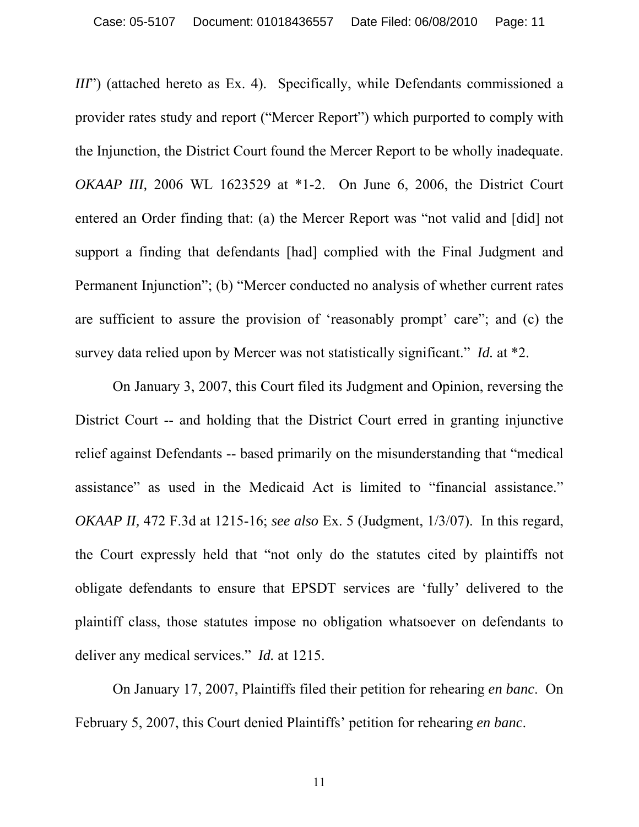*III*") (attached hereto as Ex. 4). Specifically, while Defendants commissioned a provider rates study and report ("Mercer Report") which purported to comply with the Injunction, the District Court found the Mercer Report to be wholly inadequate. *OKAAP III,* 2006 WL 1623529 at \*1-2. On June 6, 2006, the District Court entered an Order finding that: (a) the Mercer Report was "not valid and [did] not support a finding that defendants [had] complied with the Final Judgment and Permanent Injunction"; (b) "Mercer conducted no analysis of whether current rates are sufficient to assure the provision of 'reasonably prompt' care"; and (c) the survey data relied upon by Mercer was not statistically significant." *Id.* at \*2.

On January 3, 2007, this Court filed its Judgment and Opinion, reversing the District Court -- and holding that the District Court erred in granting injunctive relief against Defendants -- based primarily on the misunderstanding that "medical assistance" as used in the Medicaid Act is limited to "financial assistance." *OKAAP II,* 472 F.3d at 1215-16; *see also* Ex. 5 (Judgment, 1/3/07). In this regard, the Court expressly held that "not only do the statutes cited by plaintiffs not obligate defendants to ensure that EPSDT services are 'fully' delivered to the plaintiff class, those statutes impose no obligation whatsoever on defendants to deliver any medical services." *Id.* at 1215.

On January 17, 2007, Plaintiffs filed their petition for rehearing *en banc*. On February 5, 2007, this Court denied Plaintiffs' petition for rehearing *en banc*.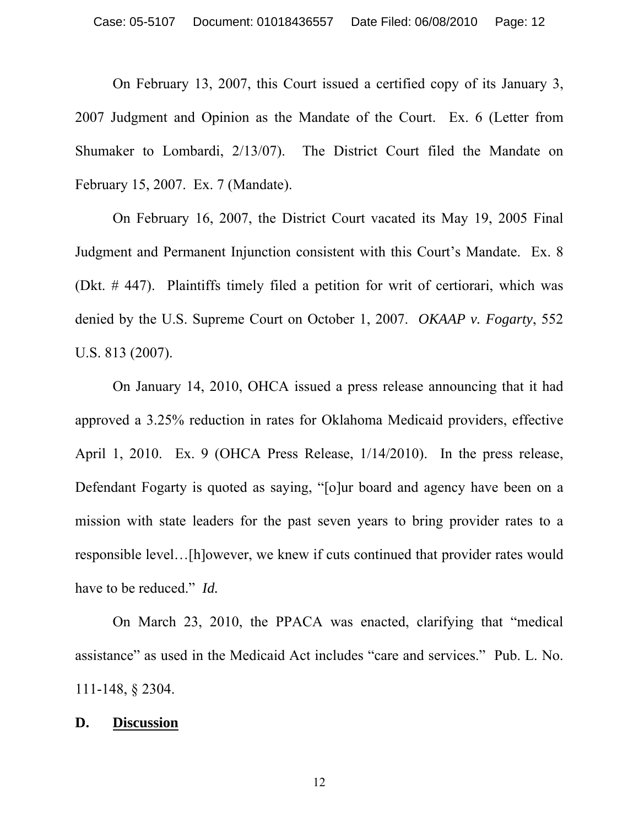On February 13, 2007, this Court issued a certified copy of its January 3, 2007 Judgment and Opinion as the Mandate of the Court. Ex. 6 (Letter from Shumaker to Lombardi, 2/13/07). The District Court filed the Mandate on February 15, 2007. Ex. 7 (Mandate).

On February 16, 2007, the District Court vacated its May 19, 2005 Final Judgment and Permanent Injunction consistent with this Court's Mandate. Ex. 8 (Dkt. # 447). Plaintiffs timely filed a petition for writ of certiorari, which was denied by the U.S. Supreme Court on October 1, 2007. *OKAAP v. Fogarty*, 552 U.S. 813 (2007).

On January 14, 2010, OHCA issued a press release announcing that it had approved a 3.25% reduction in rates for Oklahoma Medicaid providers, effective April 1, 2010. Ex. 9 (OHCA Press Release, 1/14/2010). In the press release, Defendant Fogarty is quoted as saying, "[o]ur board and agency have been on a mission with state leaders for the past seven years to bring provider rates to a responsible level…[h]owever, we knew if cuts continued that provider rates would have to be reduced." *Id.* 

On March 23, 2010, the PPACA was enacted, clarifying that "medical assistance" as used in the Medicaid Act includes "care and services." Pub. L. No. 111-148, § 2304.

## **D. Discussion**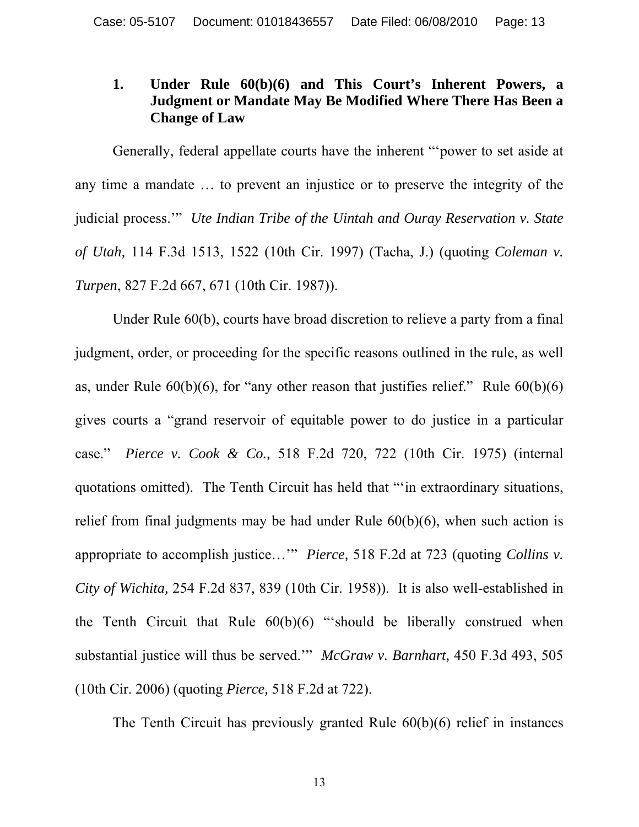# **1. Under Rule 60(b)(6) and This Court's Inherent Powers, a Judgment or Mandate May Be Modified Where There Has Been a Change of Law**

 Generally, federal appellate courts have the inherent "'power to set aside at any time a mandate … to prevent an injustice or to preserve the integrity of the judicial process.'" *Ute Indian Tribe of the Uintah and Ouray Reservation v. State of Utah,* 114 F.3d 1513, 1522 (10th Cir. 1997) (Tacha, J.) (quoting *Coleman v. Turpen*, 827 F.2d 667, 671 (10th Cir. 1987)).

Under Rule 60(b), courts have broad discretion to relieve a party from a final judgment, order, or proceeding for the specific reasons outlined in the rule, as well as, under Rule  $60(b)(6)$ , for "any other reason that justifies relief." Rule  $60(b)(6)$ gives courts a "grand reservoir of equitable power to do justice in a particular case." *Pierce v. Cook & Co.,* 518 F.2d 720, 722 (10th Cir. 1975) (internal quotations omitted). The Tenth Circuit has held that "'in extraordinary situations, relief from final judgments may be had under Rule 60(b)(6), when such action is appropriate to accomplish justice…'" *Pierce,* 518 F.2d at 723 (quoting *Collins v. City of Wichita,* 254 F.2d 837, 839 (10th Cir. 1958)). It is also well-established in the Tenth Circuit that Rule  $60(b)(6)$  "should be liberally construed when substantial justice will thus be served.'" *McGraw v. Barnhart,* 450 F.3d 493, 505 (10th Cir. 2006) (quoting *Pierce,* 518 F.2d at 722).

The Tenth Circuit has previously granted Rule 60(b)(6) relief in instances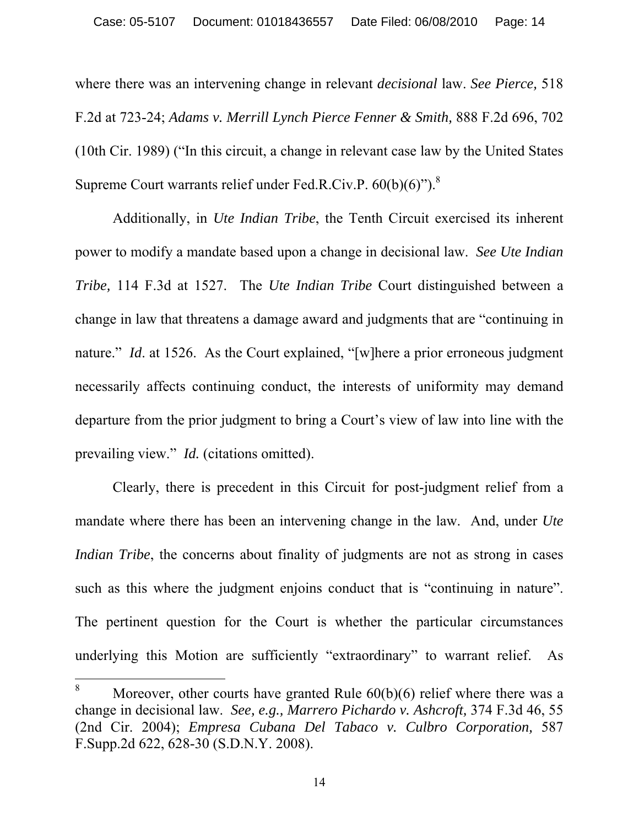where there was an intervening change in relevant *decisional* law. *See Pierce,* 518 F.2d at 723-24; *Adams v. Merrill Lynch Pierce Fenner & Smith,* 888 F.2d 696, 702 (10th Cir. 1989) ("In this circuit, a change in relevant case law by the United States Supreme Court warrants relief under Fed.R.Civ.P.  $60(b)(6)$ ").<sup>8</sup>

Additionally, in *Ute Indian Tribe*, the Tenth Circuit exercised its inherent power to modify a mandate based upon a change in decisional law. *See Ute Indian Tribe,* 114 F.3d at 1527. The *Ute Indian Tribe* Court distinguished between a change in law that threatens a damage award and judgments that are "continuing in nature." *Id.* at 1526. As the Court explained, "[w]here a prior erroneous judgment necessarily affects continuing conduct, the interests of uniformity may demand departure from the prior judgment to bring a Court's view of law into line with the prevailing view." *Id.* (citations omitted).

Clearly, there is precedent in this Circuit for post-judgment relief from a mandate where there has been an intervening change in the law. And, under *Ute Indian Tribe*, the concerns about finality of judgments are not as strong in cases such as this where the judgment enjoins conduct that is "continuing in nature". The pertinent question for the Court is whether the particular circumstances underlying this Motion are sufficiently "extraordinary" to warrant relief. As

 $\overline{a}$ 

<sup>8</sup> Moreover, other courts have granted Rule 60(b)(6) relief where there was a change in decisional law. *See, e.g., Marrero Pichardo v. Ashcroft,* 374 F.3d 46, 55 (2nd Cir. 2004); *Empresa Cubana Del Tabaco v. Culbro Corporation,* 587 F.Supp.2d 622, 628-30 (S.D.N.Y. 2008).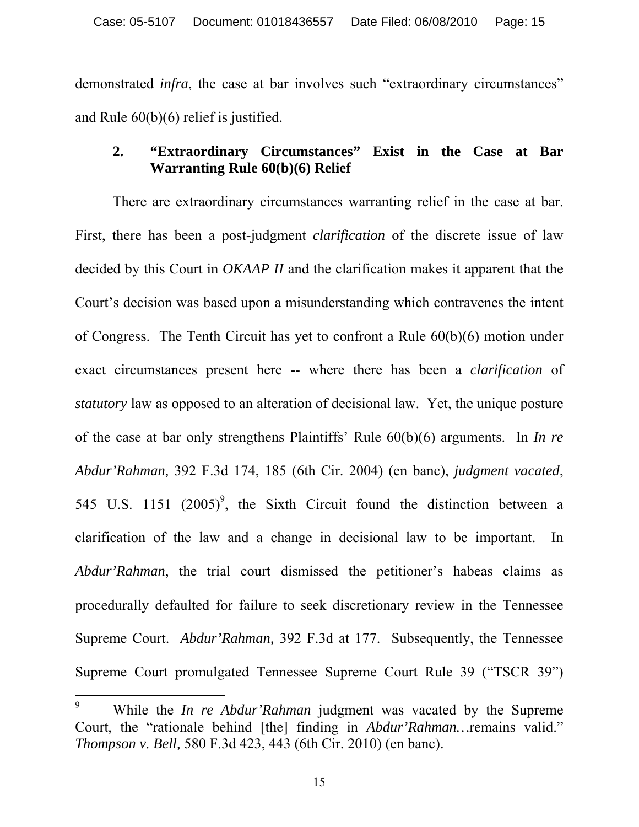demonstrated *infra*, the case at bar involves such "extraordinary circumstances" and Rule 60(b)(6) relief is justified.

# **2. "Extraordinary Circumstances" Exist in the Case at Bar Warranting Rule 60(b)(6) Relief**

 There are extraordinary circumstances warranting relief in the case at bar. First, there has been a post-judgment *clarification* of the discrete issue of law decided by this Court in *OKAAP II* and the clarification makes it apparent that the Court's decision was based upon a misunderstanding which contravenes the intent of Congress. The Tenth Circuit has yet to confront a Rule 60(b)(6) motion under exact circumstances present here -- where there has been a *clarification* of *statutory* law as opposed to an alteration of decisional law. Yet, the unique posture of the case at bar only strengthens Plaintiffs' Rule 60(b)(6) arguments. In *In re Abdur'Rahman,* 392 F.3d 174, 185 (6th Cir. 2004) (en banc), *judgment vacated*, 545 U.S. 1151  $(2005)^9$ , the Sixth Circuit found the distinction between a clarification of the law and a change in decisional law to be important. In *Abdur'Rahman*, the trial court dismissed the petitioner's habeas claims as procedurally defaulted for failure to seek discretionary review in the Tennessee Supreme Court. *Abdur'Rahman,* 392 F.3d at 177. Subsequently, the Tennessee Supreme Court promulgated Tennessee Supreme Court Rule 39 ("TSCR 39")

 $\overline{a}$ 

<sup>9</sup> While the *In re Abdur'Rahman* judgment was vacated by the Supreme Court, the "rationale behind [the] finding in *Abdur'Rahman…*remains valid." *Thompson v. Bell,* 580 F.3d 423, 443 (6th Cir. 2010) (en banc).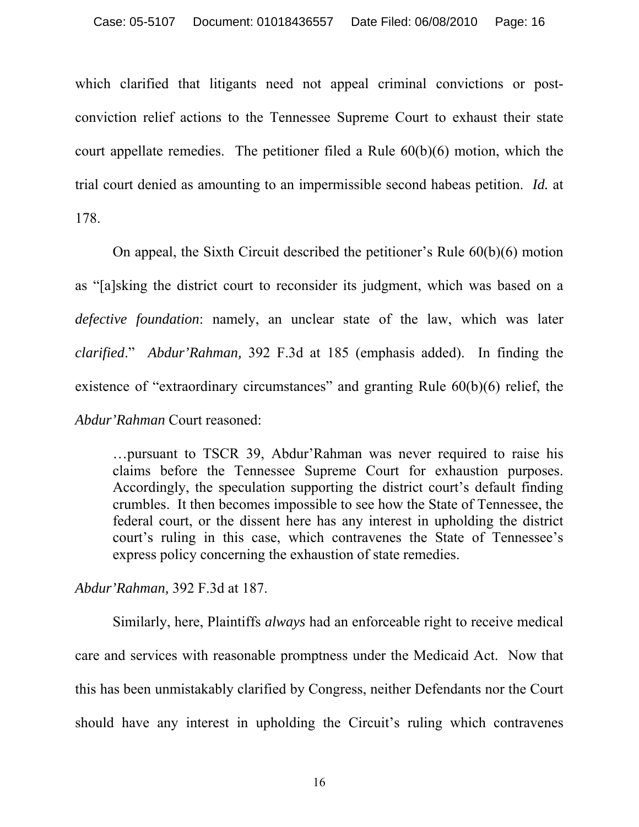which clarified that litigants need not appeal criminal convictions or postconviction relief actions to the Tennessee Supreme Court to exhaust their state court appellate remedies. The petitioner filed a Rule 60(b)(6) motion, which the trial court denied as amounting to an impermissible second habeas petition. *Id.* at 178.

On appeal, the Sixth Circuit described the petitioner's Rule 60(b)(6) motion as "[a]sking the district court to reconsider its judgment, which was based on a *defective foundation*: namely, an unclear state of the law, which was later *clarified*." *Abdur'Rahman,* 392 F.3d at 185 (emphasis added). In finding the existence of "extraordinary circumstances" and granting Rule 60(b)(6) relief, the *Abdur'Rahman* Court reasoned:

…pursuant to TSCR 39, Abdur'Rahman was never required to raise his claims before the Tennessee Supreme Court for exhaustion purposes. Accordingly, the speculation supporting the district court's default finding crumbles. It then becomes impossible to see how the State of Tennessee, the federal court, or the dissent here has any interest in upholding the district court's ruling in this case, which contravenes the State of Tennessee's express policy concerning the exhaustion of state remedies.

*Abdur'Rahman,* 392 F.3d at 187.

Similarly, here, Plaintiffs *always* had an enforceable right to receive medical care and services with reasonable promptness under the Medicaid Act. Now that this has been unmistakably clarified by Congress, neither Defendants nor the Court should have any interest in upholding the Circuit's ruling which contravenes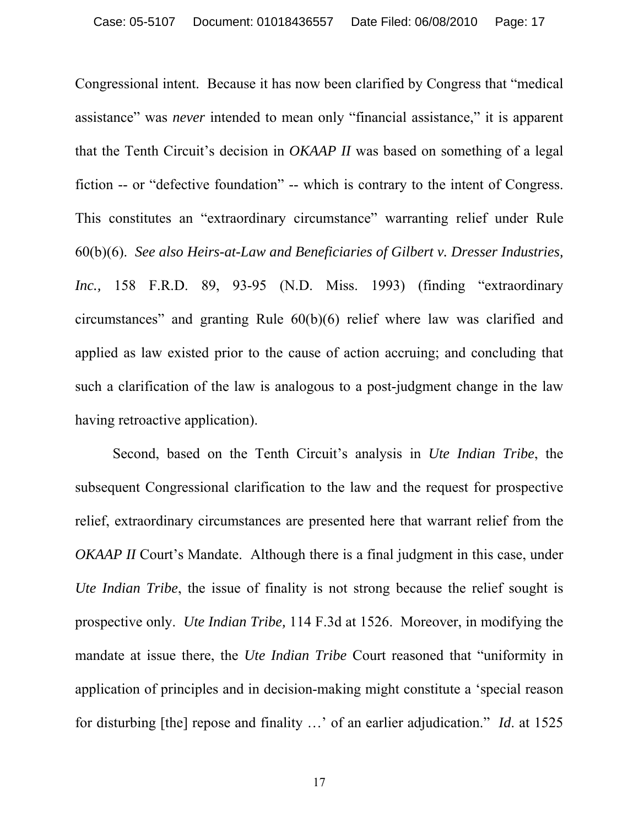Congressional intent. Because it has now been clarified by Congress that "medical assistance" was *never* intended to mean only "financial assistance," it is apparent that the Tenth Circuit's decision in *OKAAP II* was based on something of a legal fiction -- or "defective foundation" -- which is contrary to the intent of Congress. This constitutes an "extraordinary circumstance" warranting relief under Rule 60(b)(6). *See also Heirs-at-Law and Beneficiaries of Gilbert v. Dresser Industries, Inc.,* 158 F.R.D. 89, 93-95 (N.D. Miss. 1993) (finding "extraordinary circumstances" and granting Rule 60(b)(6) relief where law was clarified and applied as law existed prior to the cause of action accruing; and concluding that such a clarification of the law is analogous to a post-judgment change in the law having retroactive application).

Second, based on the Tenth Circuit's analysis in *Ute Indian Tribe*, the subsequent Congressional clarification to the law and the request for prospective relief, extraordinary circumstances are presented here that warrant relief from the *OKAAP II* Court's Mandate. Although there is a final judgment in this case, under *Ute Indian Tribe*, the issue of finality is not strong because the relief sought is prospective only. *Ute Indian Tribe,* 114 F.3d at 1526. Moreover, in modifying the mandate at issue there, the *Ute Indian Tribe* Court reasoned that "uniformity in application of principles and in decision-making might constitute a 'special reason for disturbing [the] repose and finality …' of an earlier adjudication." *Id*. at 1525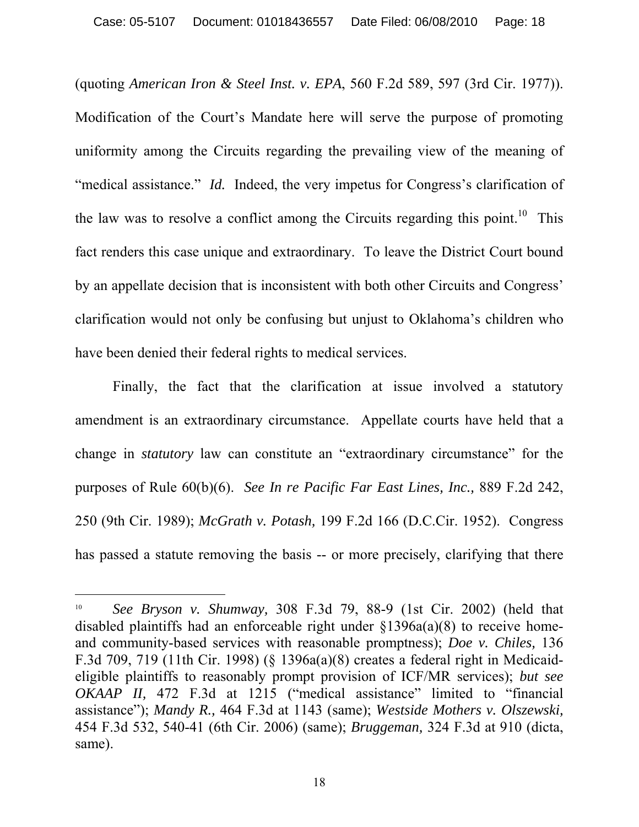(quoting *American Iron & Steel Inst. v. EPA*, 560 F.2d 589, 597 (3rd Cir. 1977)). Modification of the Court's Mandate here will serve the purpose of promoting uniformity among the Circuits regarding the prevailing view of the meaning of "medical assistance." *Id.* Indeed, the very impetus for Congress's clarification of the law was to resolve a conflict among the Circuits regarding this point.<sup>10</sup> This fact renders this case unique and extraordinary. To leave the District Court bound by an appellate decision that is inconsistent with both other Circuits and Congress' clarification would not only be confusing but unjust to Oklahoma's children who have been denied their federal rights to medical services.

Finally, the fact that the clarification at issue involved a statutory amendment is an extraordinary circumstance. Appellate courts have held that a change in *statutory* law can constitute an "extraordinary circumstance" for the purposes of Rule 60(b)(6). *See In re Pacific Far East Lines, Inc.,* 889 F.2d 242, 250 (9th Cir. 1989); *McGrath v. Potash,* 199 F.2d 166 (D.C.Cir. 1952). Congress has passed a statute removing the basis -- or more precisely, clarifying that there

 $\overline{a}$ 

<sup>10</sup> *See Bryson v. Shumway,* 308 F.3d 79, 88-9 (1st Cir. 2002) (held that disabled plaintiffs had an enforceable right under §1396a(a)(8) to receive homeand community-based services with reasonable promptness); *Doe v. Chiles,* 136 F.3d 709, 719 (11th Cir. 1998) (§ 1396a(a)(8) creates a federal right in Medicaideligible plaintiffs to reasonably prompt provision of ICF/MR services); *but see OKAAP II,* 472 F.3d at 1215 ("medical assistance" limited to "financial assistance"); *Mandy R.,* 464 F.3d at 1143 (same); *Westside Mothers v. Olszewski,*  454 F.3d 532, 540-41 (6th Cir. 2006) (same); *Bruggeman,* 324 F.3d at 910 (dicta, same).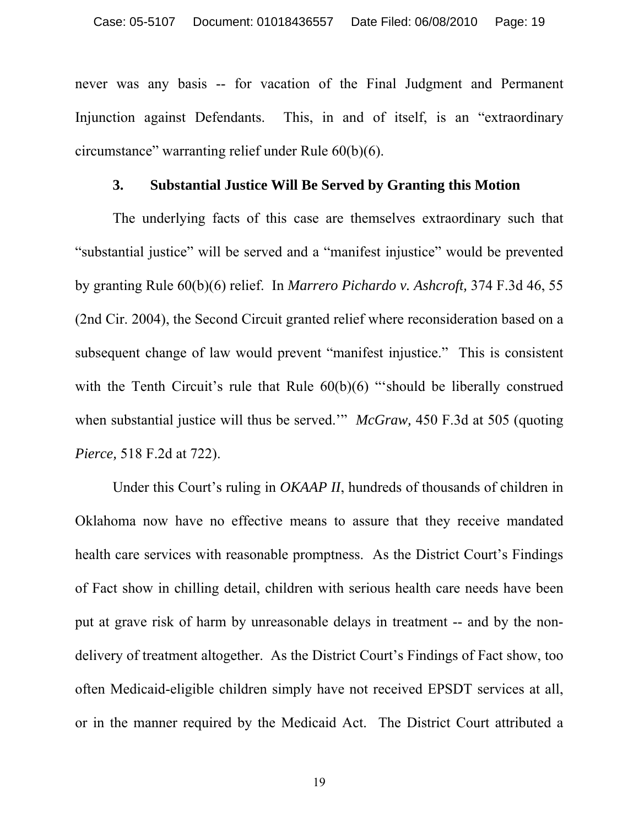never was any basis -- for vacation of the Final Judgment and Permanent Injunction against Defendants. This, in and of itself, is an "extraordinary circumstance" warranting relief under Rule 60(b)(6).

## **3. Substantial Justice Will Be Served by Granting this Motion**

The underlying facts of this case are themselves extraordinary such that "substantial justice" will be served and a "manifest injustice" would be prevented by granting Rule 60(b)(6) relief. In *Marrero Pichardo v. Ashcroft,* 374 F.3d 46, 55 (2nd Cir. 2004), the Second Circuit granted relief where reconsideration based on a subsequent change of law would prevent "manifest injustice." This is consistent with the Tenth Circuit's rule that Rule  $60(b)(6)$  "should be liberally construed when substantial justice will thus be served.'" *McGraw,* 450 F.3d at 505 (quoting *Pierce,* 518 F.2d at 722).

Under this Court's ruling in *OKAAP II*, hundreds of thousands of children in Oklahoma now have no effective means to assure that they receive mandated health care services with reasonable promptness. As the District Court's Findings of Fact show in chilling detail, children with serious health care needs have been put at grave risk of harm by unreasonable delays in treatment -- and by the nondelivery of treatment altogether. As the District Court's Findings of Fact show, too often Medicaid-eligible children simply have not received EPSDT services at all, or in the manner required by the Medicaid Act. The District Court attributed a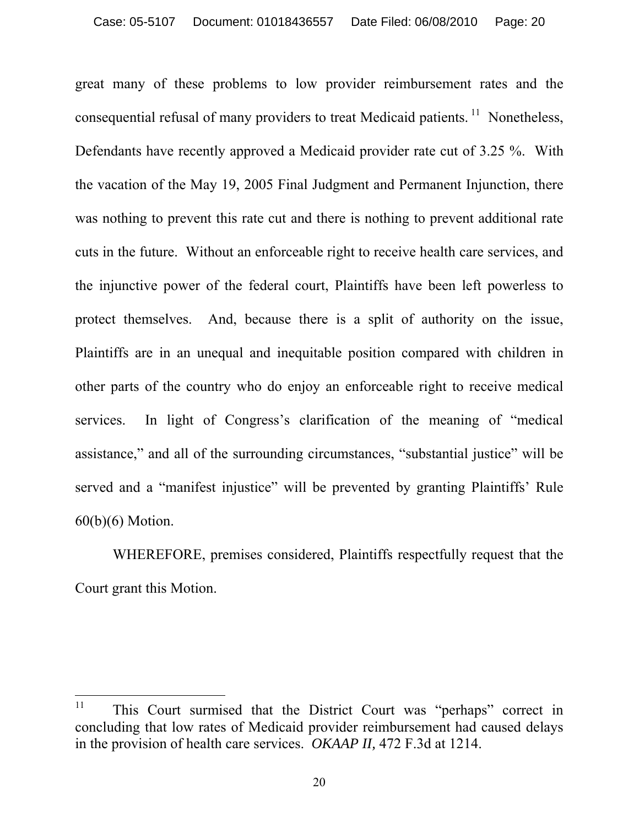great many of these problems to low provider reimbursement rates and the consequential refusal of many providers to treat Medicaid patients.  $11$  Nonetheless, Defendants have recently approved a Medicaid provider rate cut of 3.25 %. With the vacation of the May 19, 2005 Final Judgment and Permanent Injunction, there was nothing to prevent this rate cut and there is nothing to prevent additional rate cuts in the future. Without an enforceable right to receive health care services, and the injunctive power of the federal court, Plaintiffs have been left powerless to protect themselves. And, because there is a split of authority on the issue, Plaintiffs are in an unequal and inequitable position compared with children in other parts of the country who do enjoy an enforceable right to receive medical services. In light of Congress's clarification of the meaning of "medical assistance," and all of the surrounding circumstances, "substantial justice" will be served and a "manifest injustice" will be prevented by granting Plaintiffs' Rule 60(b)(6) Motion.

WHEREFORE, premises considered, Plaintiffs respectfully request that the Court grant this Motion.

<sup>11</sup> 11 This Court surmised that the District Court was "perhaps" correct in concluding that low rates of Medicaid provider reimbursement had caused delays in the provision of health care services. *OKAAP II,* 472 F.3d at 1214.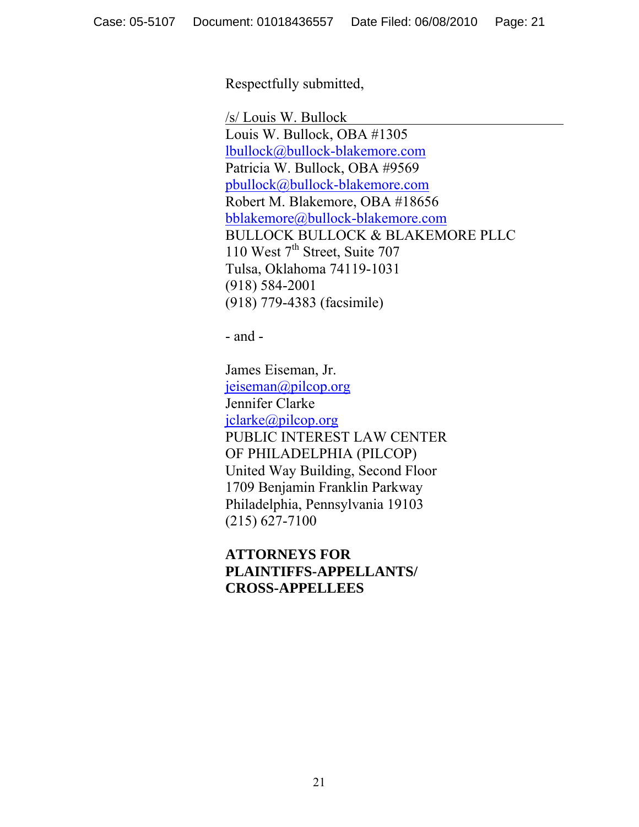Respectfully submitted,

 /s/ Louis W. Bullock Louis W. Bullock, OBA #1305 lbullock@bullock-blakemore.com Patricia W. Bullock, OBA #9569 pbullock@bullock-blakemore.com Robert M. Blakemore, OBA #18656 bblakemore@bullock-blakemore.com BULLOCK BULLOCK & BLAKEMORE PLLC 110 West 7<sup>th</sup> Street, Suite 707 Tulsa, Oklahoma 74119-1031 (918) 584-2001 (918) 779-4383 (facsimile)

- and -

 James Eiseman, Jr. jeiseman@pilcop.org Jennifer Clarke jclarke@pilcop.org PUBLIC INTEREST LAW CENTER OF PHILADELPHIA (PILCOP) United Way Building, Second Floor 1709 Benjamin Franklin Parkway Philadelphia, Pennsylvania 19103 (215) 627-7100

 **ATTORNEYS FOR PLAINTIFFS-APPELLANTS/ CROSS-APPELLEES**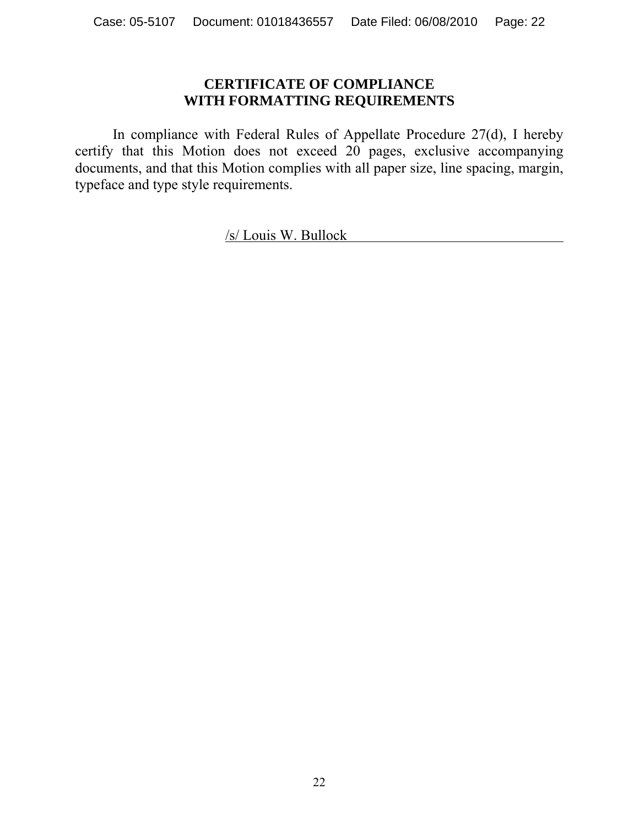# **CERTIFICATE OF COMPLIANCE WITH FORMATTING REQUIREMENTS**

In compliance with Federal Rules of Appellate Procedure 27(d), I hereby certify that this Motion does not exceed 20 pages, exclusive accompanying documents, and that this Motion complies with all paper size, line spacing, margin, typeface and type style requirements.

/s/ Louis W. Bullock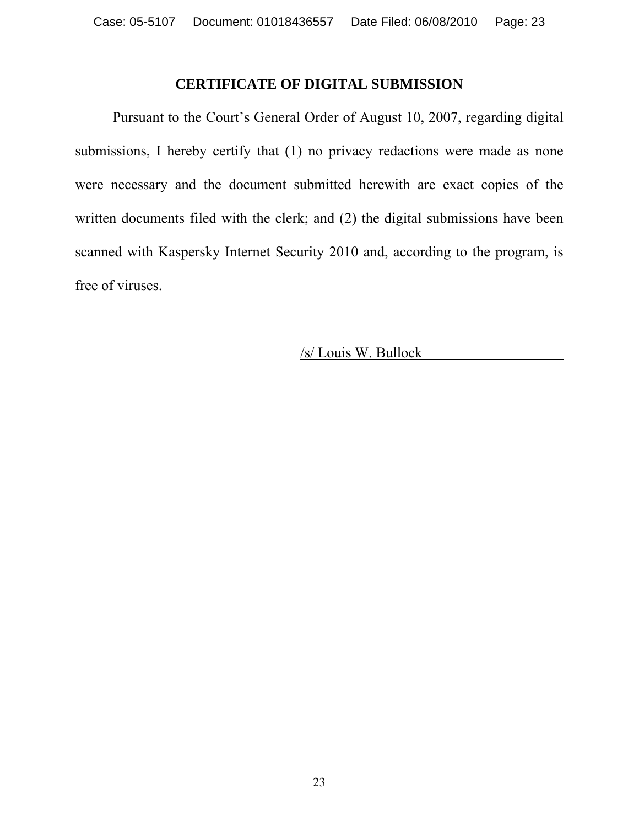# **CERTIFICATE OF DIGITAL SUBMISSION**

 Pursuant to the Court's General Order of August 10, 2007, regarding digital submissions, I hereby certify that (1) no privacy redactions were made as none were necessary and the document submitted herewith are exact copies of the written documents filed with the clerk; and (2) the digital submissions have been scanned with Kaspersky Internet Security 2010 and, according to the program, is free of viruses.

/s/ Louis W. Bullock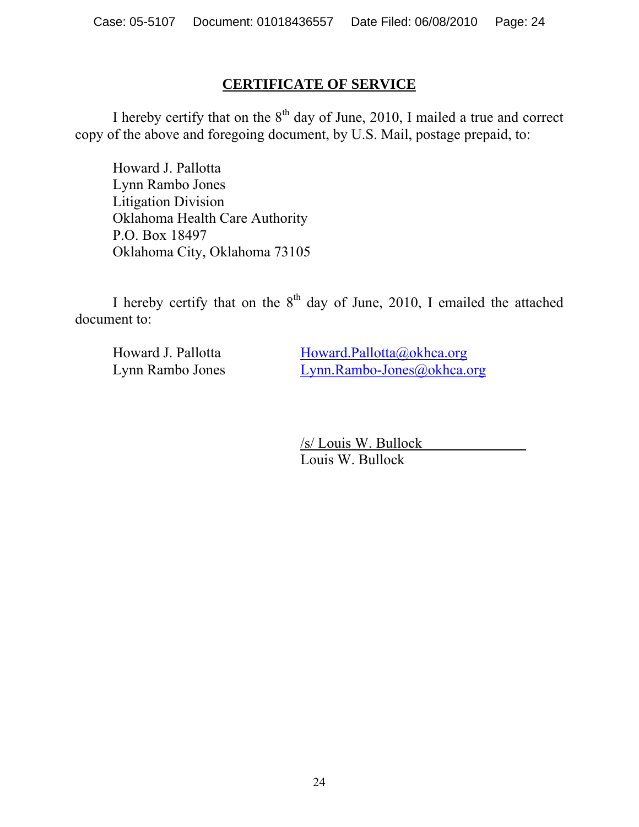# **CERTIFICATE OF SERVICE**

I hereby certify that on the  $8<sup>th</sup>$  day of June, 2010, I mailed a true and correct copy of the above and foregoing document, by U.S. Mail, postage prepaid, to:

 Howard J. Pallotta Lynn Rambo Jones Litigation Division Oklahoma Health Care Authority P.O. Box 18497 Oklahoma City, Oklahoma 73105

I hereby certify that on the  $8<sup>th</sup>$  day of June, 2010, I emailed the attached document to:

Howard J. Pallotta Howard.Pallotta@okhca.org Lynn Rambo Jones Lynn.Rambo-Jones@okhca.org

> /s/ Louis W. Bullock Louis W. Bullock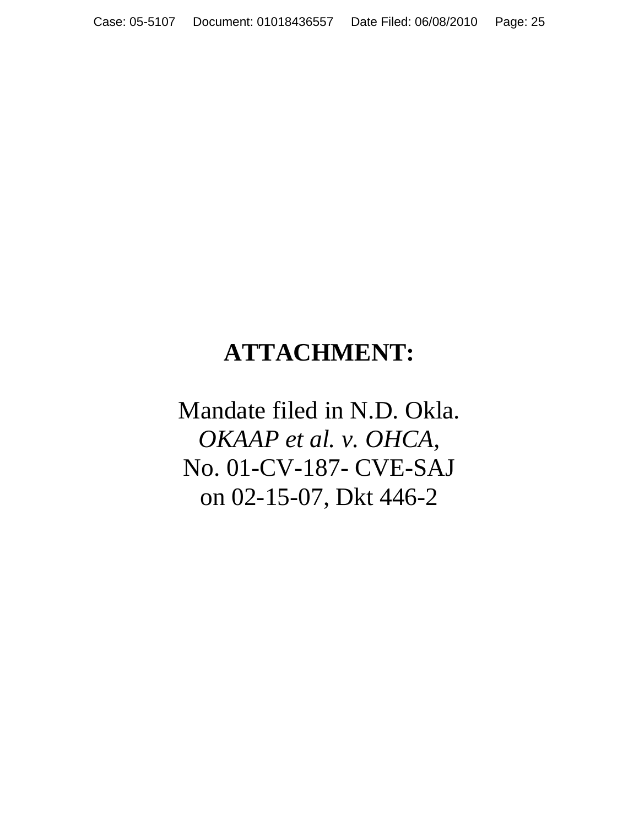# **ATTACHMENT:**

Mandate filed in N.D. Okla. *OKAAP et al. v. OHCA,*  No. 01-CV-187- CVE-SAJ on 02-15-07, Dkt 446-2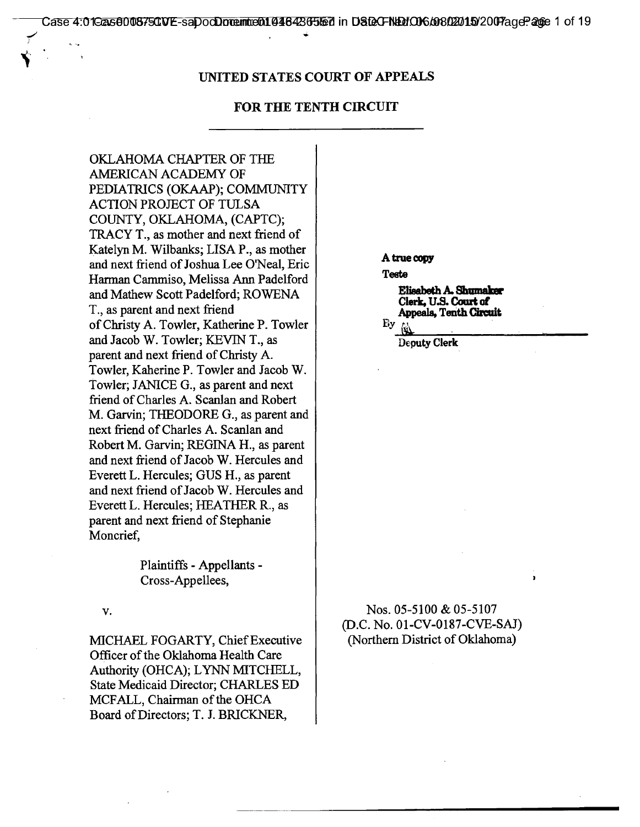#### **UNITED STATES COURT OF APPEALS**

#### **FOR THE TENTH CIRCUIT**

OKLAHOMA CHAPTER OF THE AMERICAN ACADEMY OF PEDIATRICS (OKAAP); COMMUNITY ACTION PROJECT OF TULSA COUNTY, OKLAHOMA, (CAPTC); TRACY T., as mother and next friend of Katelyn M. Wilbanks; LISA P., as mother and next friend of Joshua Lee O'Neal, Eric Harman Cammiso, Melissa Ann Padelford and Mathew Scott Padelford; ROWENA T., as parent and next friend of Christy A. Towler, Katherine P. Towler and Jacob W. Towler; KEVIN T., as parent and next friend of Christy A. Towler, Kaherine P. Towler and Jacob W. Towler; JANICE G., as parent and next friend of Charles A. Scanlan and Robert M. Garvin; THEODORE G., as parent and next friend of Charles A. Scanlan and Robert M. Garvin; REGINA H., as parent and next friend of Jacob W. Hercules and Everett L. Hercules; GUS H., as parent and next friend of Jacob W. Hercules and Everett L. Hercules; HEATHER R., as parent and next friend of Stephanie Moncrief,

> Plaintiffs - Appellants - Cross-Appellees,

V.

MICHAEL FOGARTY, Chief Executive Officer of the Oklahoma Health Care Authority (OHCA); LYNN MITCHELL, State Medicaid Director; CHARLES ED MCFALL, Chairman of the OHCA Board of Directors; T. J. BRICKNER,

**A true copy** 

**Teets** 

**Elisabeth A. Shumaker Clerk, U.S. Court of Appeals, Tenth Circuit** 

By  $\omega$ 

**Deputy Clerk** 

Nos. 05-5100 & 05-5107 (D.C. No. 01-CV-0187-CVE-SAJ) (Northern District of Oklahoma)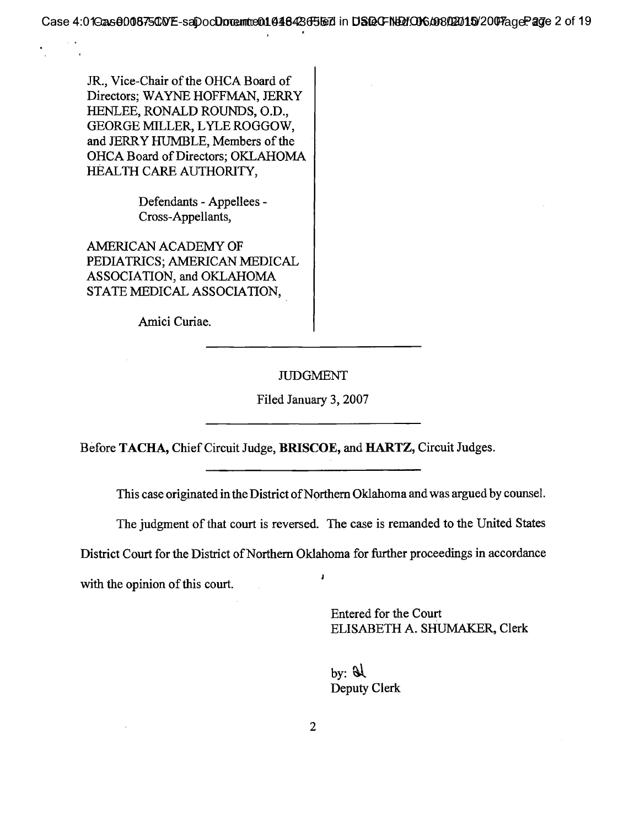JR., Vice-Chair of the OHCA Board of Directors; WAYNE HOFFMAN, JERRY HENLEE, RONALD ROUNDS, 0.D., GEORGE MILLER, LYLE ROGGOW, and JERRY HUMBLE, Members of the OHCA Board of Directors; OKLAHOMA HEALTH CARE AUTHORITY,

> Defendants - Appellees - Cross-Appellants,

AMERICAN ACADEMY OF PEDIATRICS; AMERICAN MEDICAL ASSOCIATION, and OKLAHOMA STATE MEDICAL ASSOCIATION,

Amici Curiae.

## JUDGMENT

Filed January 3, 2007

Before TACHA, Chief Circuit Judge, BRISCOE, and HARTZ, Circuit Judges.

This case originated in the District of Northern Oklahoma and was argued by counsel.

The judgment of that court is reversed. The case is remanded to the United States

District Court for the District of Northern Oklahoma for further proceedings in accordance with the opinion of this court.

> Entered for the Court ELISABETH A. SHUMAKER, Clerk

by:  $\mathcal{A}$ Deputy Clerk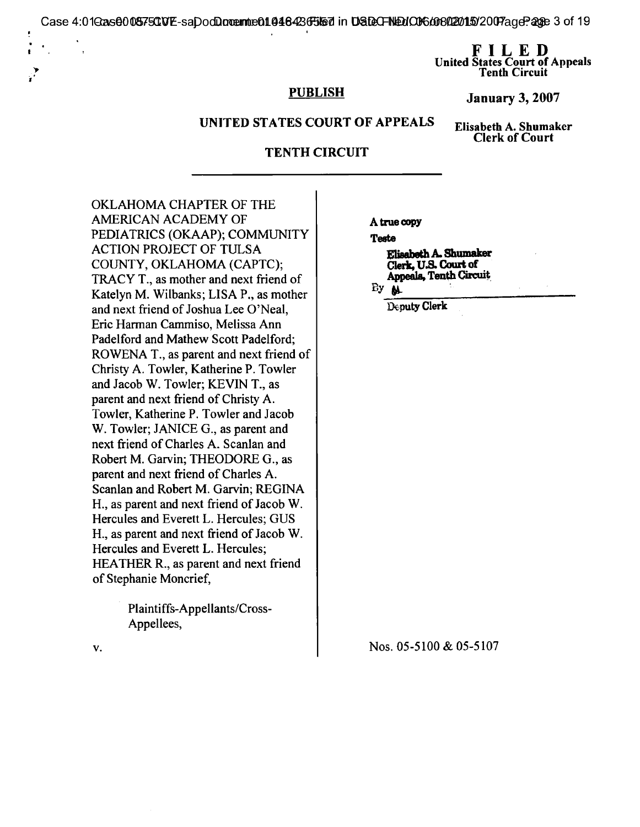Case 4:01G2ns**0005750VE-saDocQoremte01046426FJ157** in **DSDeCFNEUO06/008/22011502007**ageP203e 3 of 19

**FILED United States Court of Appeals Tenth Circuit** 

## **PUBLISH**

**January 3, 2007** 

#### **UNITED STATES COURT OF APPEALS**

**Elisabeth A. Shumaker Clerk of Court** 

#### **TENTH CIRCUIT**

OKLAHOMA CHAPTER OF THE AMERICAN ACADEMY OF PEDIATRICS (OKAAP); COMMUNITY ACTION PROJECT OF TULSA COUNTY, OKLAHOMA (CAPTC); TRACY T., as mother and next friend of Katelyn M. Wilbanks; LISA P., as mother and next friend of Joshua Lee O'Neal, Eric Harman Cammiso, Melissa Ann Padelford and Mathew Scott Padelford; ROWENA T., as parent and next friend of Christy A. Towler, Katherine P. Towler and Jacob W. Towler; KEVIN T., as parent and next friend of Christy A. Towler, Katherine P. Towler and Jacob W. Towler; JANICE G., as parent and next friend of Charles A. Scanlan and Robert M. Garvin; THEODORE G., as parent and next friend of Charles A. Scanlan and Robert M. Garvin; REGINA H., as parent and next friend of Jacob W. Hercules and Everett L. Hercules; GUS H., as parent and next friend of Jacob W. Hercules and Everett L. Hercules; HEATHER R., as parent and next friend of Stephanie Moncrief,

> Plaintiffs-Appellants/Cross-Appellees,

**A true copy** 

**Teste** 

**Elisabeth A. Shumaker Clerk, U.S. Court of Appeals, Tenth Circuit** 

By  $M$ 

**Deputy Clerk** 

**Nos. 05-5100 & 05-5107** 

V.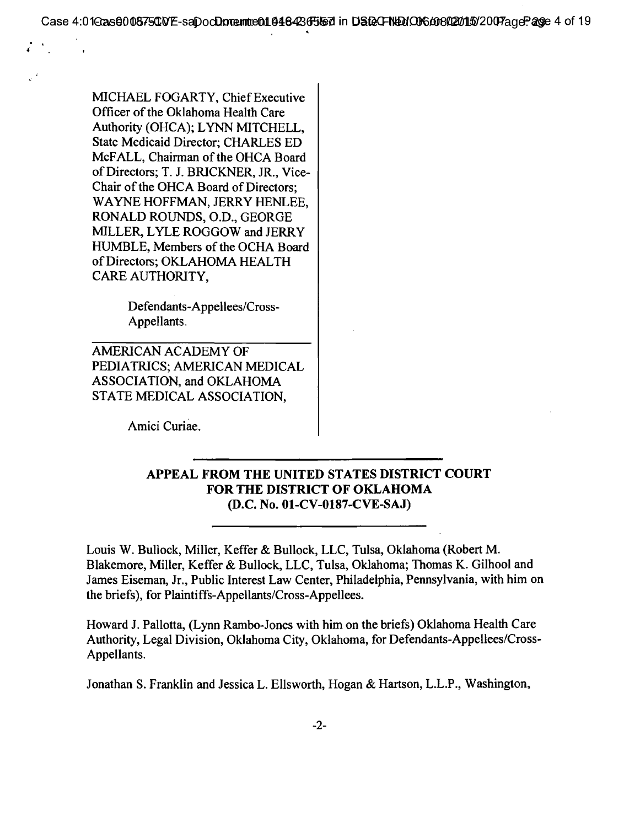Case 4:0**1GasQ00875CVE-saDocQoremt:e01048426F3157** in **DSDCFNDdO060092011502007**ageP**ag**e 4 of 19

MICHAEL FOGARTY, Chief Executive Officer of the Oklahoma Health Care Authority (OHCA); LYNN MITCHELL, State Medicaid Director; CHARLES ED McFALL, Chairman of the OHCA Board of Directors; T. J. BRICKNER, JR., Vice-Chair of the OHCA Board of Directors; WAYNE HOFFMAN, JERRY HENLEE, RONALD ROUNDS, 0.D., GEORGE MILLER, LYLE ROGGOW and JERRY HUMBLE, Members of the OCHA Board of Directors; OKLAHOMA HEALTH CARE AUTHORITY,

> Defendants-Appellees/Cross-Appellants.

AMERICAN ACADEMY OF PEDIATRICS; AMERICAN MEDICAL ASSOCIATION, and OKLAHOMA STATE MEDICAL ASSOCIATION,

Amici Curiae.

## **APPEAL FROM THE UNITED STATES DISTRICT COURT FOR THE DISTRICT OF OKLAHOMA (D.C. No. 01-CV-0187-CVE-SAJ)**

Louis W. Bullock, Miller, Keffer & Bullock, LLC, Tulsa, Oklahoma (Robert M. Blakemore, Miller, Keffer & Bullock, LLC, Tulsa, Oklahoma; Thomas K. Gilhool and James Eiseman, Jr., Public Interest Law Center, Philadelphia, Pennsylvania, with him on the briefs), for Plaintiffs-Appellants/Cross-Appellees.

Howard J. Pallotta, (Lynn Rambo-Jones with him on the briefs) Oklahoma Health Care Authority, Legal Division, Oklahoma City, Oklahoma, for Defendants-Appellees/Cross-Appellants.

Jonathan S. Franklin and Jessica L. Ellsworth, Hogan & Hartson, L.L.P., Washington,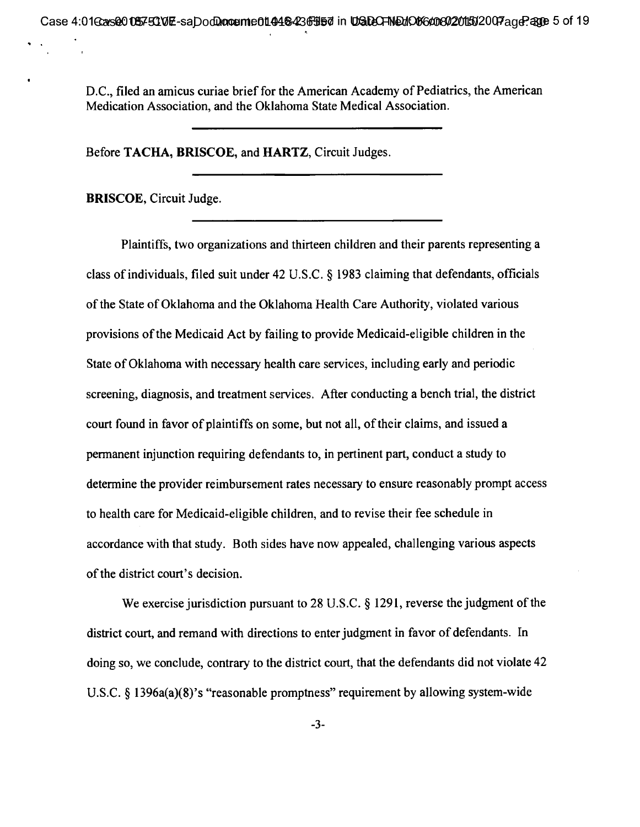D.C., filed an amicus curiae brief for the American Academy of Pediatrics, the American Medication Association, and the Oklahoma State Medical Association.

Before TACHA, BRISCOE, and HARTZ, Circuit Judges.

BRISCOE, Circuit Judge.

Plaintiffs, two organizations and thirteen children and their parents representing a class of individuals, filed suit under 42 U.S.C. § 1983 claiming that defendants, officials of the State of Oklahoma and the Oklahoma Health Care Authority, violated various provisions of the Medicaid Act by failing to provide Medicaid-eligible children in the State of Oklahoma with necessary health care services, including early and periodic screening, diagnosis, and treatment services. After conducting a bench trial, the district court found in favor of plaintiffs on some, but not all, of their claims, and issued a permanent injunction requiring defendants to, in pertinent part, conduct a study to determine the provider reimbursement rates necessary to ensure reasonably prompt access to health care for Medicaid-eligible children, and to revise their fee schedule in accordance with that study. Both sides have now appealed, challenging various aspects of the district court's decision.

We exercise jurisdiction pursuant to 28 U.S.C. § 1291, reverse the judgment of the district court, and remand with directions to enter judgment in favor of defendants. In doing so, we conclude, contrary to the district court, that the defendants did not violate 42 U.S.C. § 1396a(a)(8)'s "reasonable promptness" requirement by allowing system-wide

-3-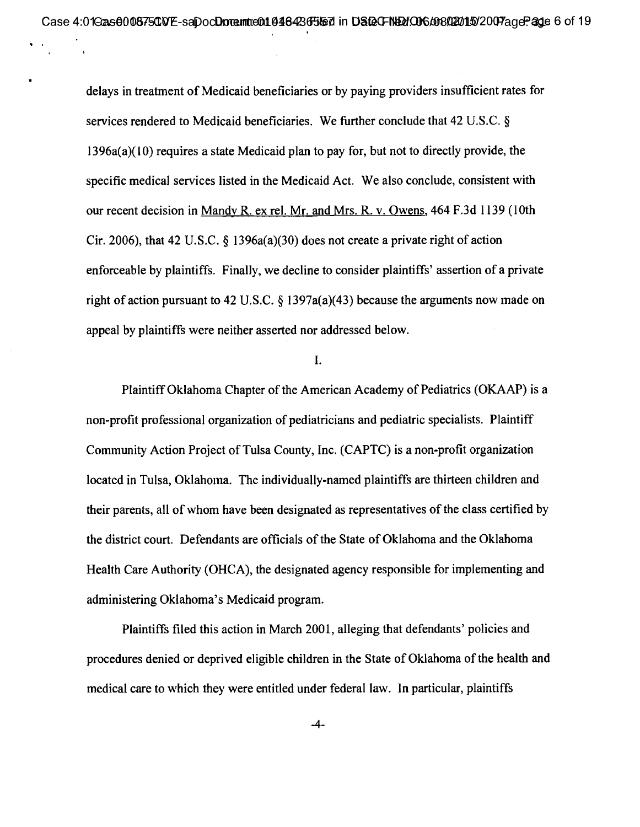delays in treatment of Medicaid beneficiaries or by paying providers insufficient rates for services rendered to Medicaid beneficiaries. We further conclude that 42 U.S.C. § 1396a(a)(10) requires a state Medicaid plan to pay for, but not to directly provide, the specific medical services listed in the Medicaid Act. We also conclude, consistent with our recent decision in Mandy R. ex rel. Mr. and Mrs. R. v. Owens, 464 F.3d 1139 (10th Cir. 2006), that 42 U.S.C.  $\S$  1396a(a)(30) does not create a private right of action enforceable by plaintiffs. Finally, we decline to consider plaintiffs' assertion of a private right of action pursuant to 42 U.S.C.  $\S$  1397a(a)(43) because the arguments now made on appeal by plaintiffs were neither asserted nor addressed below.

#### I.

Plaintiff Oklahoma Chapter of the American Academy of Pediatrics (OKAAP) is a non-profit professional organization of pediatricians and pediatric specialists. Plaintiff Community Action Project of Tulsa County, Inc. (CAPTC) is a non-profit organization located in Tulsa, Oklahoma. The individually-named plaintiffs are thirteen children and their parents, all of whom have been designated as representatives of the class certified by the district court. Defendants are officials of the State of Oklahoma and the Oklahoma Health Care Authority (OHCA), the designated agency responsible for implementing and administering Oklahoma's Medicaid program.

Plaintiffs filed this action in March 2001, alleging that defendants' policies and procedures denied or deprived eligible children in the State of Oklahoma of the health and medical care to which they were entitled under federal law. In particular, plaintiffs

-4-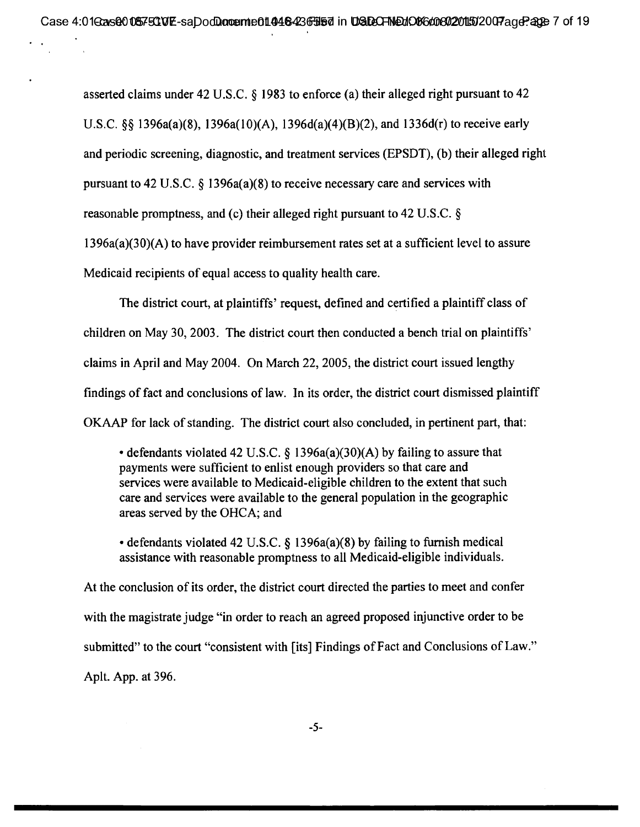asserted claims under 42 U.S.C. § 1983 to enforce (a) their alleged right pursuant to 42 U.S.C. §§ 1396a(a)(8), 1396a(10)(A), 1396d(a)(4)(B)(2), and 1336d(r) to receive early and periodic screening, diagnostic, and treatment services (EPSDT), (b) their alleged right pursuant to 42 U.S.C. § 1396a(a)(8) to receive necessary care and services with reasonable promptness, and (c) their alleged right pursuant to 42 U.S.C. § 1396a(a)(30)(A) to have provider reimbursement rates set at a sufficient level to assure Medicaid recipients of equal access to quality health care.

The district court, at plaintiffs' request, defined and certified a plaintiff class of children on May 30, 2003. The district court then conducted a bench trial on plaintiffs' claims in April and May 2004. On March 22, 2005, the district court issued lengthy findings of fact and conclusions of law. In its order, the district court dismissed plaintiff OKAAP for lack of standing. The district court also concluded, in pertinent part, that:

• defendants violated 42 U.S.C. § 1396a(a)(30)(A) by failing to assure that payments were sufficient to enlist enough providers so that care and services were available to Medicaid-eligible children to the extent that such care and services were available to the general population in the geographic areas served by the OHCA; and

• defendants violated 42 U.S.C. § 1396a(a)(8) by failing to furnish medical assistance with reasonable promptness to all Medicaid-eligible individuals.

At the conclusion of its order, the district court directed the parties to meet and confer with the magistrate judge "in order to reach an agreed proposed injunctive order to be submitted" to the court "consistent with [its] Findings of Fact and Conclusions of Law." Aplt. App. at 396.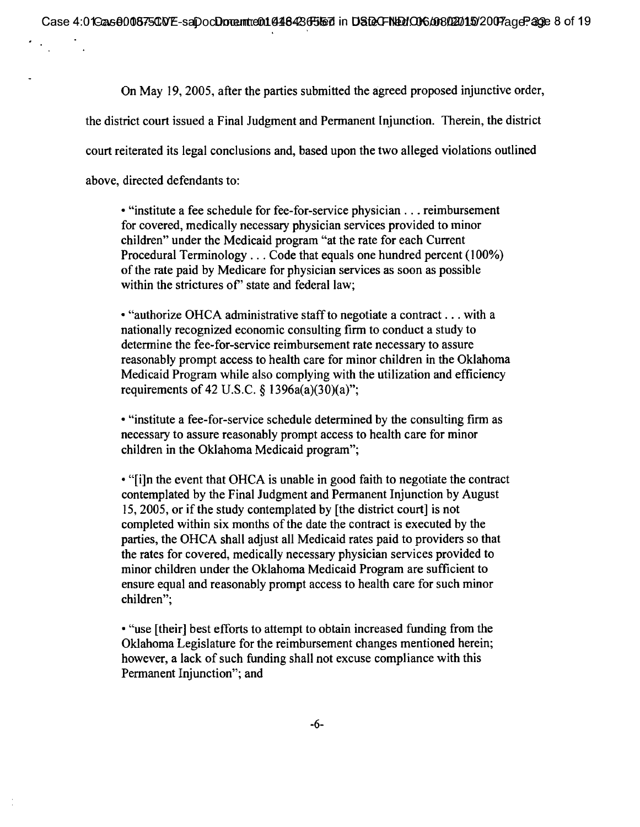On May 19, 2005, after the parties submitted the agreed proposed injunctive order,

the district court issued a Final Judgment and Permanent Injunction. Therein, the district

court reiterated its legal conclusions and, based upon the two alleged violations outlined

above, directed defendants to:

• "institute a fee schedule for fee-for-service physician. . . reimbursement for covered, medically necessary physician services provided to minor children" under the Medicaid program "at the rate for each Current Procedural Terminology . . . Code that equals one hundred percent (100%) of the rate paid by Medicare for physician services as soon as possible within the strictures of" state and federal law;

• "authorize OHCA administrative staff to negotiate a contract. . . with a nationally recognized economic consulting firm to conduct a study to determine the fee-for-service reimbursement rate necessary to assure reasonably prompt access to health care for minor children in the Oklahoma Medicaid Program while also complying with the utilization and efficiency requirements of 42 U.S.C. § 1396a(a)(30)(a)";

• "institute a fee-for-service schedule determined by the consulting firm as necessary to assure reasonably prompt access to health care for minor children in the Oklahoma Medicaid program";

• "[i]n the event that OHCA is unable in good faith to negotiate the contract contemplated by the Final Judgment and Permanent Injunction by August 15, 2005, or if the study contemplated by [the district court] is not completed within six months of the date the contract is executed by the parties, the OHCA shall adjust all Medicaid rates paid to providers so that the rates for covered, medically necessary physician services provided to minor children under the Oklahoma Medicaid Program are sufficient to ensure equal and reasonably prompt access to health care for such minor children";

• "use [their] best efforts to attempt to obtain increased funding from the Oklahoma Legislature for the reimbursement changes mentioned herein; however, a lack of such funding shall not excuse compliance with this Permanent Injunction"; and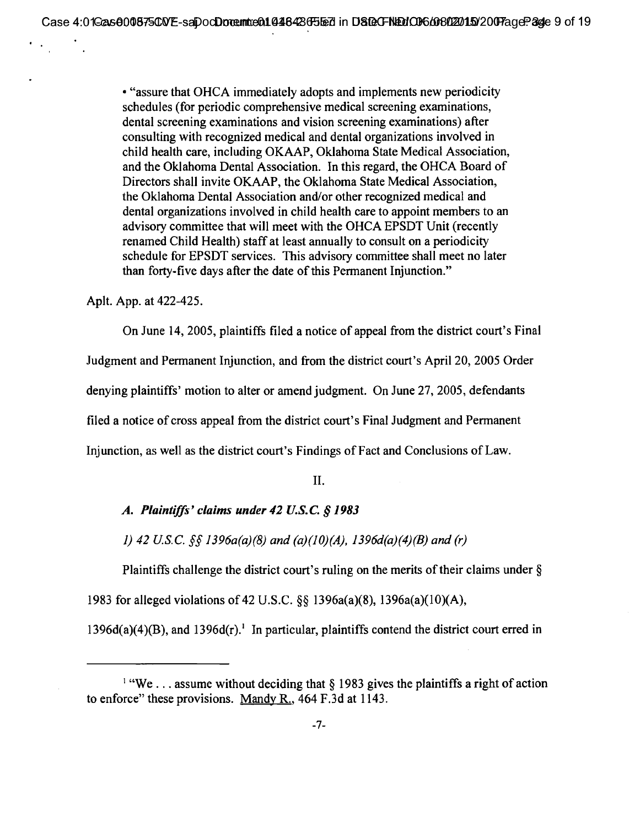**• "assure that OHCA immediately adopts and implements new periodicity schedules (for periodic comprehensive medical screening examinations, dental screening examinations and vision screening examinations) after consulting with recognized medical and dental organizations involved in child health care, including OKAAP, Oklahoma State Medical Association, and the Oklahoma Dental Association. In this regard, the OHCA Board of Directors shall invite OKAAP, the Oklahoma State Medical Association, the Oklahoma Dental Association and/or other recognized medical and dental organizations involved in child health care to appoint members to an advisory committee that will meet with the OHCA EPSDT Unit (recently renamed Child Health) staff at least annually to consult on a periodicity schedule for EPSDT services. This advisory committee shall meet no later than forty-five days after the date of this Permanent Injunction."** 

**Aplt. App. at 422-425.** 

**On June 14, 2005, plaintiffs filed a notice of appeal from the district court's Final** 

**Judgment and Permanent Injunction, and from the district court's April 20, 2005 Order** 

**denying plaintiffs' motion to alter or amend judgment. On June 27, 2005, defendants** 

**filed a notice of cross appeal from the district court's Final Judgment and Permanent** 

**Injunction, as well as the district court's Findings of Fact and Conclusions of Law.** 

**II.** 

## *A. Plaintiffs' claims under 42 U.S.C. § 1983*

*1)* 42 U.S.C. §§ 1396a(a)(8) and (a)(10)(A), 1396d(a)(4)(B) and (r)

**Plaintiffs challenge the district court's ruling on the merits of their claims under § 1983 for alleged violations of 42 U.S.C. §§ 1396a(a)(8), 1396a(a)(10)(A),** 

**1396d(a)(4)(B), and 1396d(r).' In particular, plaintiffs contend the district court erred in** 

**<sup>&#</sup>x27; "We . .. assume without deciding that § 1983 gives the plaintiffs a right of action to enforce" these provisions. Mandy R., 464 F.3d at 1143.**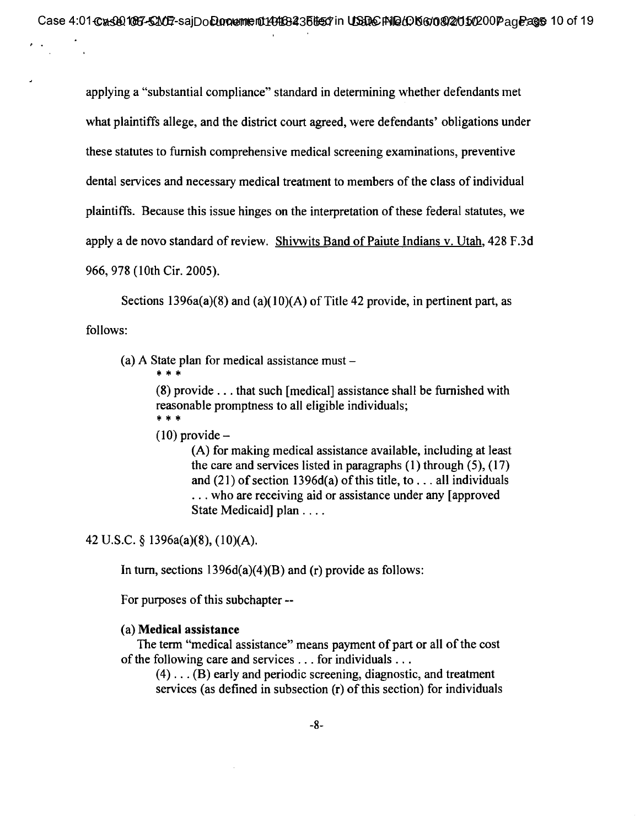applying a "substantial compliance" standard in determining whether defendants met what plaintiffs allege, and the district court agreed, were defendants' obligations under these statutes to furnish comprehensive medical screening examinations, preventive dental services and necessary medical treatment to members of the class of individual plaintiffs. Because this issue hinges on the interpretation of these federal statutes, we apply a de novo standard of review. Shivwits Band of Paiute Indians v. Utah, 428 F.3d 966, 978 (10th Cir. 2005).

Sections 1396a(a)(8) and (a)(10)(A) of Title 42 provide, in pertinent part, as follows:

- (a) A State plan for medical assistance must
	- \* \* \*

(8) provide . . . that such [medical] assistance shall be furnished with reasonable promptness to all eligible individuals; \* \* \*

 $(10)$  provide  $-$ 

(A) for making medical assistance available, including at least the care and services listed in paragraphs  $(1)$  through  $(5)$ ,  $(17)$ and  $(21)$  of section 1396d(a) of this title, to . . . all individuals ... who are receiving aid or assistance under any [approved] State Medicaid plan . . . .

42 U.S.C. § 1396a(a)(8), (10)(A).

In turn, sections  $1396d(a)(4)(B)$  and (r) provide as follows:

For purposes of this subchapter --

#### (a) **Medical assistance**

**The** term "medical assistance" means payment of part or all of the cost of the following care and services . . . for individuals . . .

(4) . . . (B) early and periodic screening, diagnostic, and treatment services (as defined in subsection (r) of this section) for individuals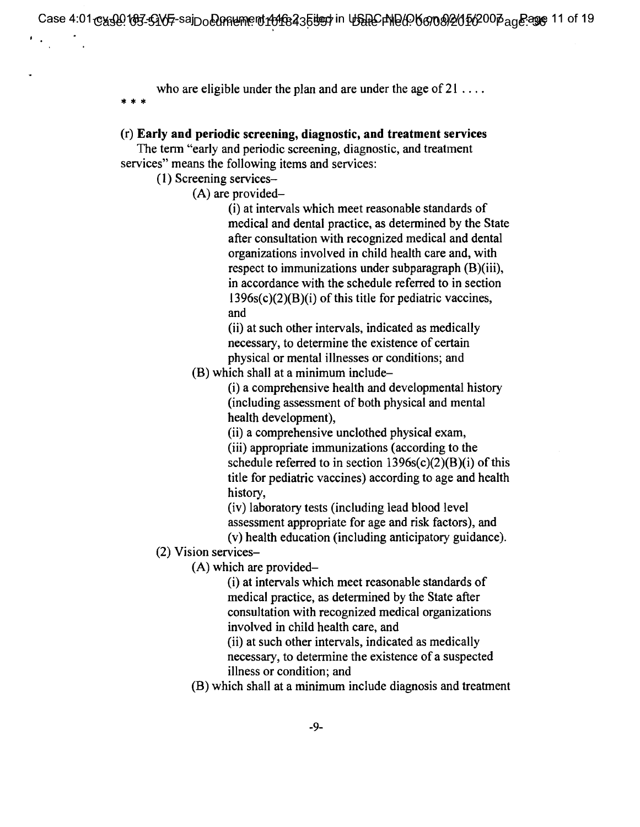who are eligible under the plan and are under the age of  $21 \ldots$ .

#### (r) **Early and periodic screening, diagnostic, and treatment services**

The term "early and periodic screening, diagnostic, and treatment services" means the following items and services:

(1) Screening services—

(A) are provided-

(i) at intervals which meet reasonable standards of medical and dental practice, as determined by the State after consultation with recognized medical and dental organizations involved in child health care and, with respect to immunizations under subparagraph (B)(iii), in accordance with the schedule referred to in section  $1396s(c)(2)(B)(i)$  of this title for pediatric vaccines, and

(ii) at such other intervals, indicated as medically necessary, to determine the existence of certain physical or mental illnesses or conditions; and

(B) which shall at a minimum include-

(i) a comprehensive health and developmental history (including assessment of both physical and mental health development),

(ii) a comprehensive unclothed physical exam, (iii) appropriate immunizations (according to the schedule referred to in section  $1396s(c)(2)(B)(i)$  of this title for pediatric vaccines) according to age and health history,

(iv) laboratory tests (including lead blood level assessment appropriate for age and risk factors), and (v) health education (including anticipatory guidance).

(2) Vision services—

(A) which are provided-

(i) at intervals which meet reasonable standards of medical practice, as determined by the State after consultation with recognized medical organizations involved in child health care, and

(ii) at such other intervals, indicated as medically necessary, to determine the existence of a suspected illness or condition; and

(B) which shall at a minimum include diagnosis and treatment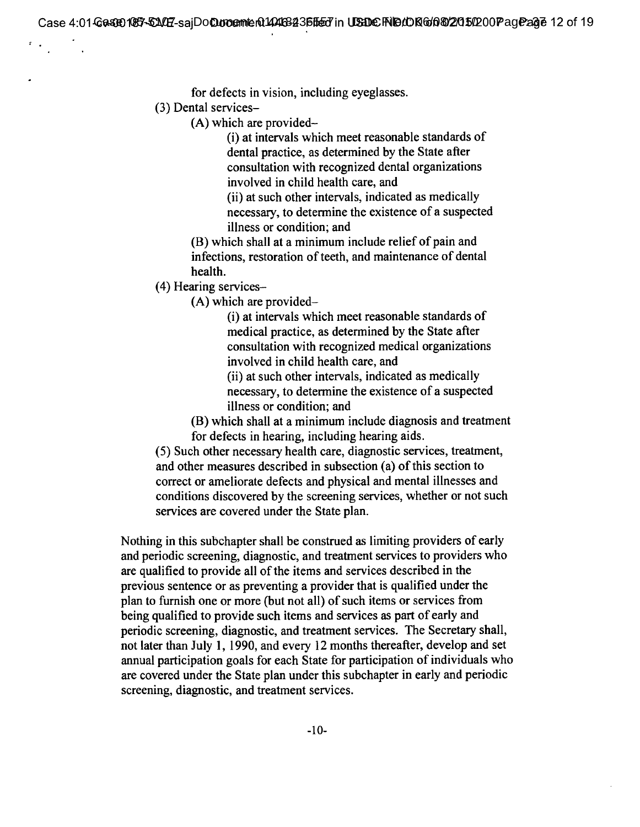for defects in vision, including eyeglasses.

(3) Dental services—

(A) which are provided-

(i) at intervals which meet reasonable standards of dental practice, as determined by the State after consultation with recognized dental organizations involved in child health care, and

(ii) at such other intervals, indicated as medically necessary, to determine the existence of a suspected illness or condition; and

(B) which shall at a minimum include relief of pain and infections, restoration of teeth, and maintenance of dental health.

(4) Hearing services—

(A) which are provided-

(i) at intervals which meet reasonable standards of medical practice, as determined by the State after consultation with recognized medical organizations involved in child health care, and

(ii) at such other intervals, indicated as medically necessary, to determine the existence of a suspected illness or condition; and

(B) which shall at a minimum include diagnosis and treatment for defects in hearing, including hearing aids.

(5) Such other necessary health care, diagnostic services, treatment, and other measures described in subsection (a) of this section to correct or ameliorate defects and physical and mental illnesses and conditions discovered by the screening services, whether or not such services are covered under the State plan.

Nothing in this subchapter shall be construed as limiting providers of early and periodic screening, diagnostic, and treatment services to providers who are qualified to provide all of the items and services described in the previous sentence or as preventing a provider that is qualified under the plan to furnish one or more (but not all) of such items or services from being qualified to provide such items and services as part of early and periodic screening, diagnostic, and treatment services. The Secretary shall, not later than July 1, 1990, and every 12 months thereafter, develop and set annual participation goals for each State for participation of individuals who are covered under the State plan under this subchapter in early and periodic screening, diagnostic, and treatment services.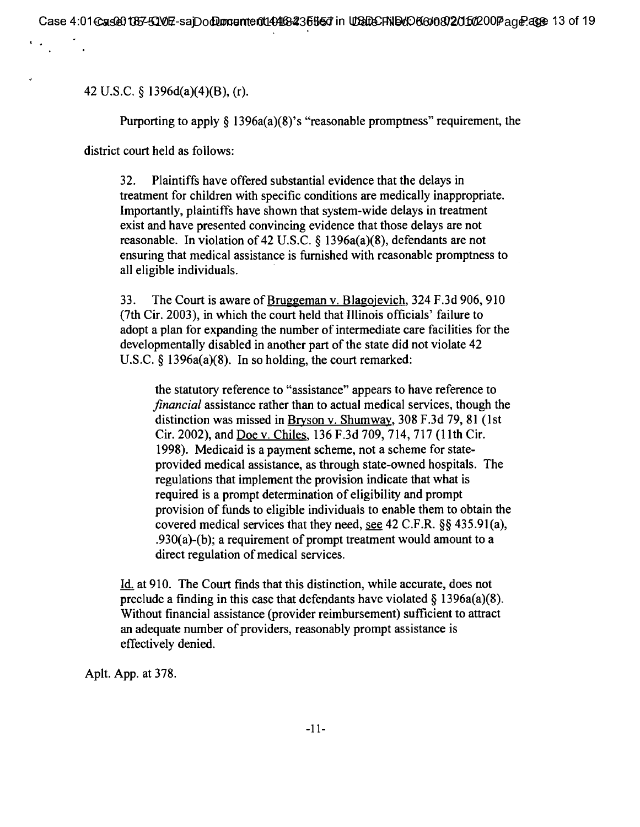42 U.S.C. § 1396d(a)(4)(B), (r).

Purporting to apply § 1396a(a)(8)'s "reasonable promptness" requirement, the

district court held as follows:

32. Plaintiffs have offered substantial evidence that the delays in treatment for children with specific conditions are medically inappropriate. Importantly, plaintiffs have shown that system-wide delays in treatment exist and have presented convincing evidence that those delays are not reasonable. In violation of 42 U.S.C. § 1396a(a)(8), defendants are not ensuring that medical assistance is furnished with reasonable promptness to all eligible individuals.

33. The Court is aware of Bruggeman v. Blazojevich, 324 F.3d 906, 910 (7th Cir. 2003), in which the court held that Illinois officials' failure to adopt a plan for expanding the number of intermediate care facilities for the developmentally disabled in another part of the state did not violate 42 U.S.C. § 1396a(a)(8). In so holding, the court remarked:

the statutory reference to "assistance" appears to have reference to *financial* assistance rather than to actual medical services, though the distinction was missed in Bryson v. Shumway, 308 F.3d 79, 81 (1st Cir. 2002), and Doe v. Chiles, 136 F.3d 709, 714, 717 (11th Cir. 1998). Medicaid is a payment scheme, not a scheme for stateprovided medical assistance, as through state-owned hospitals. The regulations that implement the provision indicate that what is required is a prompt determination of eligibility and prompt provision of funds to eligible individuals to enable them to obtain the covered medical services that they need, see 42 C.F.R. §§ 435.91(a), .930(a)-(b); a requirement of prompt treatment would amount to a direct regulation of medical services.

Id. at 910. The Court finds that this distinction, while accurate, does not preclude a finding in this case that defendants have violated  $\S$  1396a(a)(8). Without financial assistance (provider reimbursement) sufficient to attract an adequate number of providers, reasonably prompt assistance is effectively denied.

Aplt. App. at 378.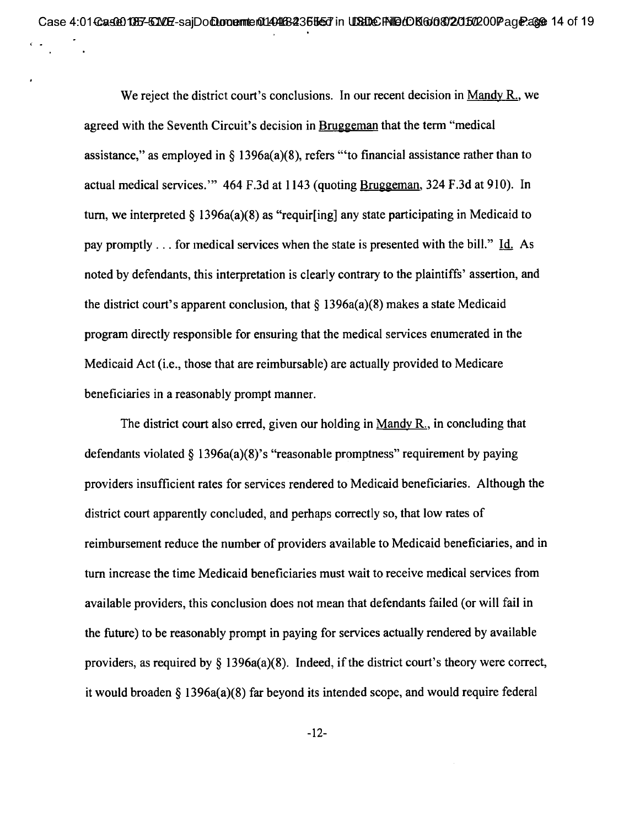We reject the district court's conclusions. In our recent decision in Mandy  $R_n$ , we agreed with the Seventh Circuit's decision in Bruggeman that the term "medical assistance," as employed in  $\S$  1396a(a)(8), refers "to financial assistance rather than to actual medical services."  $464$  F.3d at 1143 (quoting Bruggeman, 324 F.3d at 910). In turn, we interpreted  $\S$  1396a(a)(8) as "requir[ing] any state participating in Medicaid to pay promptly. . . for medical services when the state is presented with the bill." Id. As noted by defendants, this interpretation is clearly contrary to the plaintiffs' assertion, and the district court's apparent conclusion, that  $\S$  1396a(a)(8) makes a state Medicaid program directly responsible for ensuring that the medical services enumerated in the Medicaid Act (i.e., those that are reimbursable) are actually provided to Medicare beneficiaries in a reasonably prompt manner.

The district court also erred, given our holding in Mandy  $R_{\cdot}$ , in concluding that defendants violated  $\S$  1396a(a)(8)'s "reasonable promptness" requirement by paying providers insufficient rates for services rendered to Medicaid beneficiaries. Although the district court apparently concluded, and perhaps correctly so, that low rates of reimbursement reduce the number of providers available to Medicaid beneficiaries, and in turn increase the time Medicaid beneficiaries must wait to receive medical services from available providers, this conclusion does not mean that defendants failed (or will fail in the future) to be reasonably prompt in paying for services actually rendered by available providers, as required by § 1396a(a)(8). Indeed, if the district court's theory were correct, it would broaden § 1396a(a)(8) far beyond its intended scope, and would require federal

-12-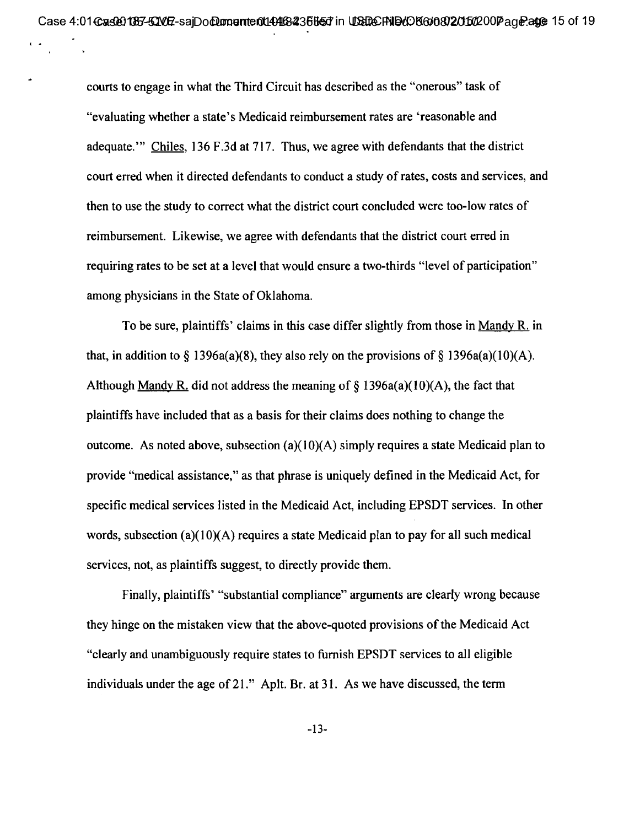courts to engage in what the Third Circuit has described as the "onerous" task of "evaluating whether a state's Medicaid reimbursement rates are 'reasonable and adequate." Chiles, 136 F.3d at 717. Thus, we agree with defendants that the district court erred when it directed defendants to conduct a study of rates, costs and services, and then to use the study to correct what the district court concluded were too-low rates of reimbursement. Likewise, we agree with defendants that the district court erred in requiring rates to be set at a level that would ensure a two-thirds "level of participation" among physicians in the State of Oklahoma.

To be sure, plaintiffs' claims in this case differ slightly from those in Mandy  $R_i$  in that, in addition to  $\S$  1396a(a)(8), they also rely on the provisions of  $\S$  1396a(a)(10)(A). Although Mandy R, did not address the meaning of  $\S$  1396a(a)(10)(A), the fact that plaintiffs have included that as a basis for their claims does nothing to change the outcome. As noted above, subsection  $(a)(10)(A)$  simply requires a state Medicaid plan to provide "medical assistance," as that phrase is uniquely defined in the Medicaid Act, for specific medical services listed in the Medicaid Act, including EPSDT services. In other words, subsection (a)(10)(A) requires a state Medicaid plan to pay for all such medical services, not, as plaintiffs suggest, to directly provide them.

Finally, plaintiffs' "substantial compliance" arguments are clearly wrong because they hinge on the mistaken view that the above-quoted provisions of the Medicaid Act "clearly and unambiguously require states to furnish EPSDT services to all eligible individuals under the age of 21." Aplt. Br. at 31. As we have discussed, the term

-13-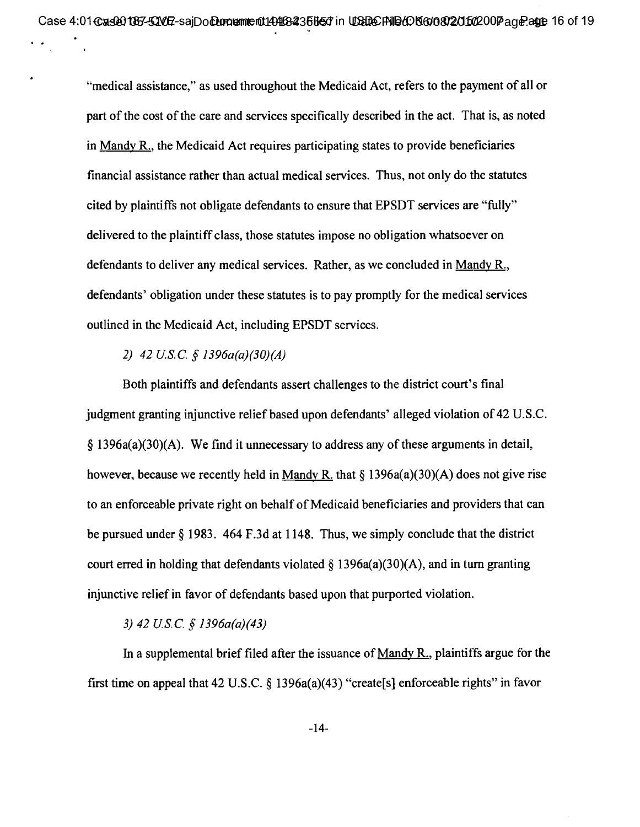**"medical assistance," as used throughout the Medicaid Act, refers to the payment of all or part of the cost of the care and services specifically described in the act. That is, as noted in Mandy R., the Medicaid Act requires participating states to provide beneficiaries financial assistance rather than actual medical services. Thus, not only do the statutes cited by plaintiffs not obligate defendants to ensure that EPSDT services are "fully" delivered to the plaintiff class, those statutes impose no obligation whatsoever on defendants to deliver any medical services. Rather, as we concluded in Mandy R., defendants' obligation under these statutes is to pay promptly for the medical services outlined in the Medicaid Act, including EPSDT services.** 

## *2) 42 U.S.C. e 1396a(a)(30)(A)*

**Both plaintiffs and defendants assert challenges to the district court's final judgment granting injunctive relief based upon defendants' alleged violation of 42 U.S.C. § 1396a(a)(30)(A). We find it unnecessary to address any of these arguments in detail, however, because we recently held in Mandy R. that § 1396a(a)(30)(A) does not give rise to an enforceable private right on behalf of Medicaid beneficiaries and providers that can be pursued under § 1983. 464 F.3d at 1148. Thus, we simply conclude that the district court erred in holding that defendants violated § 1396a(a)(30)(A), and in turn granting injunctive relief in favor of defendants based upon that purported violation.** 

## *3) 42 US.C. sf 1396a(a)(43)*

**In a supplemental brief filed after the issuance of Mandy R., plaintiffs argue for the first time on appeal that 42 U.S.C. § 1396a(a)(43) "create[s] enforceable rights" in favor** 

**-14-**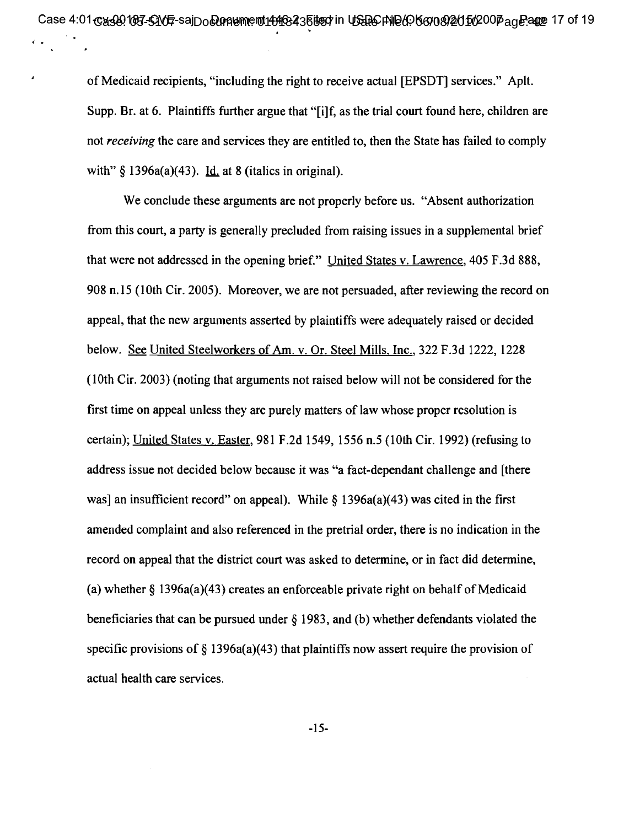of Medicaid recipients, "including the right to receive actual [EPSDT] services." Aplt. Supp. Br. at 6. Plaintiffs further argue that "[i]f, as the trial court found here, children are not *receiving* the care and services they are entitled to, then the State has failed to comply with"  $\S$  1396a(a)(43). Id. at 8 (italics in original).

We conclude these arguments are not properly before us. "Absent authorization" from this court, a party is generally precluded from raising issues in a supplemental brief that were not addressed in the opening brief." United States v. Lawrence, 405 F.3d 888, 908 n.15 (10th Cir. 2005). Moreover, we are not persuaded, after reviewing the record on appeal, that the new arguments asserted by plaintiffs were adequately raised or decided below. See United Steelworkers of Am. v. Or. Steel Mills, Inc., 322 F.3d 1222, 1228 (10th Cir. 2003) (noting that arguments not raised below will not be considered for the first time on appeal unless they are purely matters of law whose proper resolution is certain); United States v. Easter, 981 F.2d 1549, 1556 n.5 (10th Cir. 1992) (refusing to address issue not decided below because it was "a fact-dependant challenge and [there was] an insufficient record" on appeal). While  $\S$  1396a(a)(43) was cited in the first amended complaint and also referenced in the pretrial order, there is no indication in the record on appeal that the district court was asked to determine, or in fact did determine, (a) whether  $\delta$  1396a(a)(43) creates an enforceable private right on behalf of Medicaid beneficiaries that can be pursued under § 1983, and (b) whether defendants violated the specific provisions of  $\S$  1396a(a)(43) that plaintiffs now assert require the provision of actual health care services.

-15-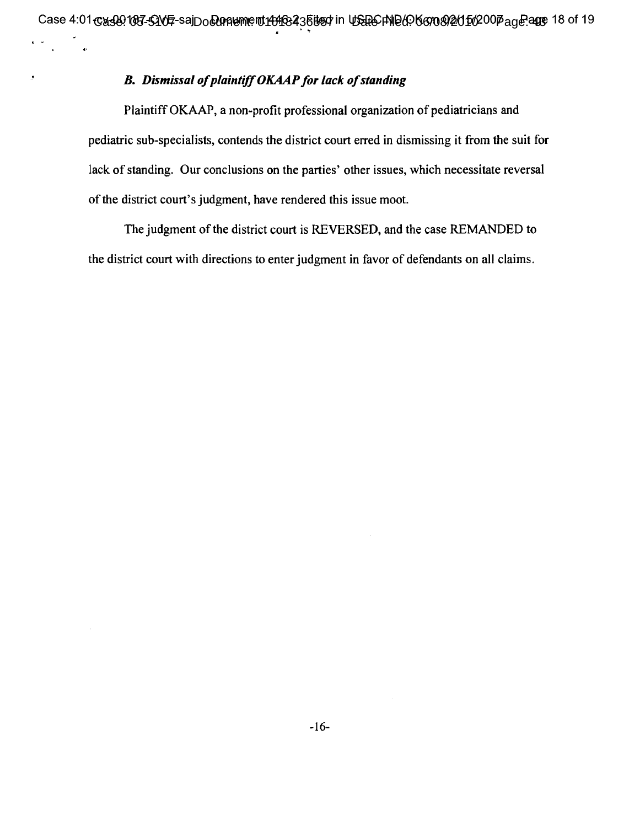# *B. Dismissal of plaintiff OKAAP for lack of standing*

**a.** 

 $\boldsymbol{\beta}$ 

Plaintiff OKAAP, a non-profit professional organization of pediatricians and pediatric sub-specialists, contends the district court erred in dismissing it from the suit for lack of standing. Our conclusions on the parties' other issues, which necessitate reversal of the district court's judgment, have rendered this issue moot.

The judgment of the district court is REVERSED, and the case REMANDED to the district court with directions to enter judgment in favor of defendants on all claims.